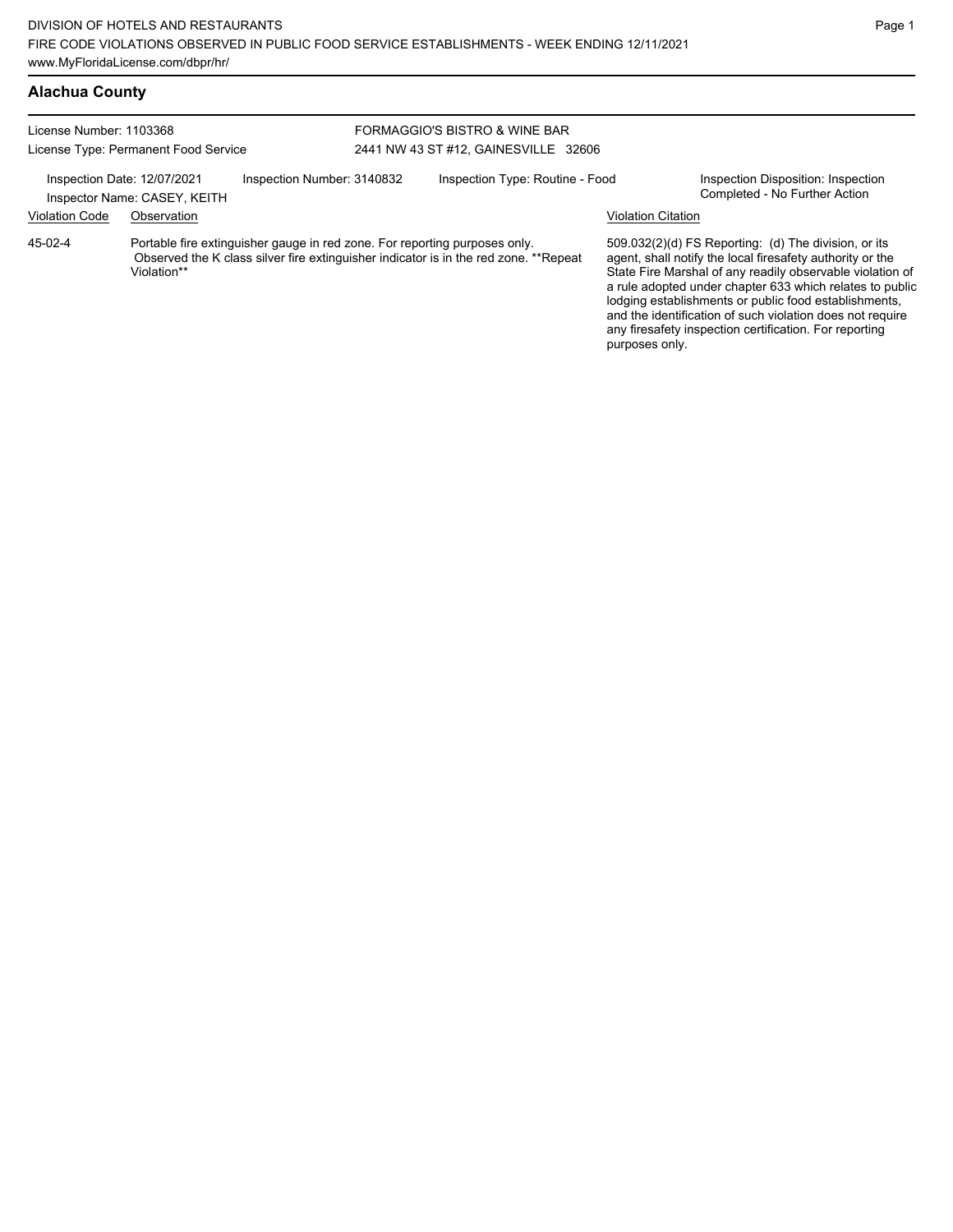## **Alachua County**

| License Number: 1103368<br>License Type: Permanent Food Service                                                                                                                              |                                                             | FORMAGGIO'S BISTRO & WINE BAR<br>2441 NW 43 ST #12, GAINESVILLE 32606 |  |                                 |                           |                                                                                                                                                                                                                                                                                                                                                                                                                            |
|----------------------------------------------------------------------------------------------------------------------------------------------------------------------------------------------|-------------------------------------------------------------|-----------------------------------------------------------------------|--|---------------------------------|---------------------------|----------------------------------------------------------------------------------------------------------------------------------------------------------------------------------------------------------------------------------------------------------------------------------------------------------------------------------------------------------------------------------------------------------------------------|
|                                                                                                                                                                                              | Inspection Date: 12/07/2021<br>Inspector Name: CASEY, KEITH | Inspection Number: 3140832                                            |  | Inspection Type: Routine - Food |                           | Inspection Disposition: Inspection<br>Completed - No Further Action                                                                                                                                                                                                                                                                                                                                                        |
| <b>Violation Code</b>                                                                                                                                                                        | Observation                                                 |                                                                       |  |                                 | <b>Violation Citation</b> |                                                                                                                                                                                                                                                                                                                                                                                                                            |
| 45-02-4<br>Portable fire extinguisher gauge in red zone. For reporting purposes only.<br>Observed the K class silver fire extinguisher indicator is in the red zone. **Repeat<br>Violation** |                                                             |                                                                       |  |                                 | purposes only.            | 509.032(2)(d) FS Reporting: (d) The division, or its<br>agent, shall notify the local firesafety authority or the<br>State Fire Marshal of any readily observable violation of<br>a rule adopted under chapter 633 which relates to public<br>lodging establishments or public food establishments,<br>and the identification of such violation does not require<br>any firesafety inspection certification. For reporting |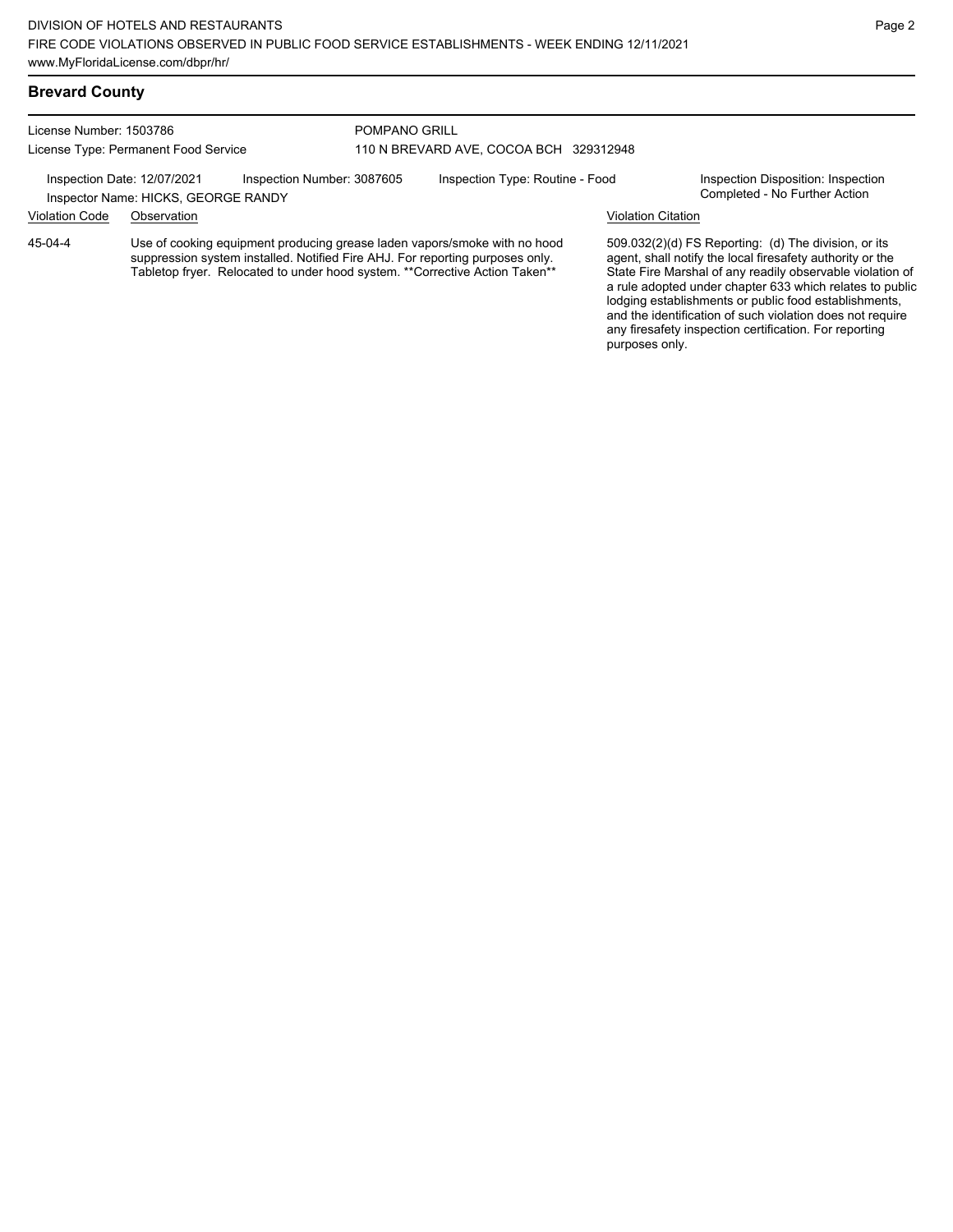#### **Brevard County**

License Number: 1503786 License Type: Permanent Food Service

#### POMPANO GRILL 110 N BREVARD AVE, COCOA BCH 329312948

Inspection Date: 12/07/2021 Inspection Number: 3087605 Inspection Type: Routine - Food Inspection Disposition: Inspection<br>Inspector Name: HICKS GEORGE RANDY

Inspector Name: HICKS, GEORGE RANDY Violation Code Observation Violation Citation

Use of cooking equipment producing grease laden vapors/smoke with no hood suppression system installed. Notified Fire AHJ. For reporting purposes only. Tabletop fryer. Relocated to under hood system. \*\*Corrective Action Taken\*\* 45-04-4

509.032(2)(d) FS Reporting: (d) The division, or its agent, shall notify the local firesafety authority or the State Fire Marshal of any readily observable violation of a rule adopted under chapter 633 which relates to public lodging establishments or public food establishments, and the identification of such violation does not require any firesafety inspection certification. For reporting purposes only.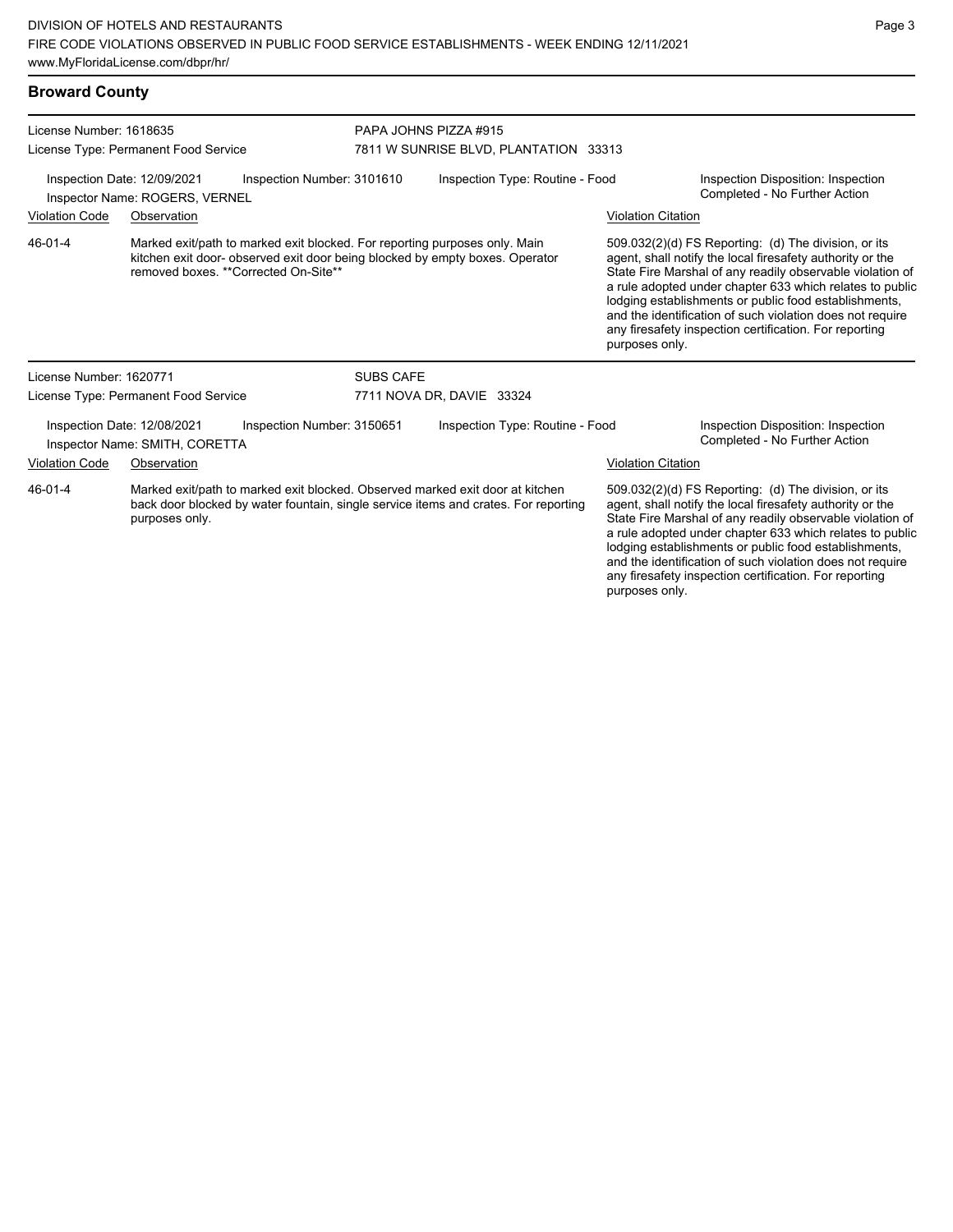| <b>Broward County</b>                                                                       |                                                               |                                                                                                                     |                                 |                                                                               |                                                                     |                                                                                                                                                                                                                                                                                                                                                                                                                            |
|---------------------------------------------------------------------------------------------|---------------------------------------------------------------|---------------------------------------------------------------------------------------------------------------------|---------------------------------|-------------------------------------------------------------------------------|---------------------------------------------------------------------|----------------------------------------------------------------------------------------------------------------------------------------------------------------------------------------------------------------------------------------------------------------------------------------------------------------------------------------------------------------------------------------------------------------------------|
| License Number: 1618635                                                                     |                                                               |                                                                                                                     |                                 | PAPA JOHNS PIZZA #915                                                         |                                                                     |                                                                                                                                                                                                                                                                                                                                                                                                                            |
|                                                                                             | License Type: Permanent Food Service                          |                                                                                                                     |                                 | 7811 W SUNRISE BLVD, PLANTATION 33313                                         |                                                                     |                                                                                                                                                                                                                                                                                                                                                                                                                            |
| Inspection Date: 12/09/2021<br>Inspection Number: 3101610<br>Inspector Name: ROGERS, VERNEL |                                                               |                                                                                                                     | Inspection Type: Routine - Food |                                                                               | Inspection Disposition: Inspection<br>Completed - No Further Action |                                                                                                                                                                                                                                                                                                                                                                                                                            |
| <b>Violation Code</b>                                                                       | Observation                                                   |                                                                                                                     |                                 |                                                                               | <b>Violation Citation</b>                                           |                                                                                                                                                                                                                                                                                                                                                                                                                            |
| $46 - 01 - 4$                                                                               |                                                               | Marked exit/path to marked exit blocked. For reporting purposes only. Main<br>removed boxes. ** Corrected On-Site** |                                 | kitchen exit door- observed exit door being blocked by empty boxes. Operator  | purposes only.                                                      | 509.032(2)(d) FS Reporting: (d) The division, or its<br>agent, shall notify the local firesafety authority or the<br>State Fire Marshal of any readily observable violation of<br>a rule adopted under chapter 633 which relates to public<br>lodging establishments or public food establishments,<br>and the identification of such violation does not require<br>any firesafety inspection certification. For reporting |
| License Number: 1620771                                                                     |                                                               |                                                                                                                     | <b>SUBS CAFE</b>                |                                                                               |                                                                     |                                                                                                                                                                                                                                                                                                                                                                                                                            |
|                                                                                             | License Type: Permanent Food Service                          |                                                                                                                     | 7711 NOVA DR, DAVIE 33324       |                                                                               |                                                                     |                                                                                                                                                                                                                                                                                                                                                                                                                            |
|                                                                                             | Inspection Date: 12/08/2021<br>Inspector Name: SMITH, CORETTA | Inspection Number: 3150651                                                                                          |                                 | Inspection Type: Routine - Food                                               |                                                                     | Inspection Disposition: Inspection<br>Completed - No Further Action                                                                                                                                                                                                                                                                                                                                                        |
| <b>Violation Code</b>                                                                       | Observation                                                   |                                                                                                                     |                                 |                                                                               | <b>Violation Citation</b>                                           |                                                                                                                                                                                                                                                                                                                                                                                                                            |
| $46 - 01 - 4$                                                                               |                                                               |                                                                                                                     |                                 | Marked exit/path to marked exit blocked. Observed marked exit door at kitchen |                                                                     | 509.032(2)(d) FS Reporting: (d) The division, or its                                                                                                                                                                                                                                                                                                                                                                       |

back door blocked by water fountain, single service items and crates. For reporting purposes only.

509.032(2)(d) FS Reporting: (d) The division, or its agent, shall notify the local firesafety authority or the State Fire Marshal of any readily observable violation of a rule adopted under chapter 633 which relates to public lodging establishments or public food establishments, and the identification of such violation does not require any firesafety inspection certification. For reporting purposes only.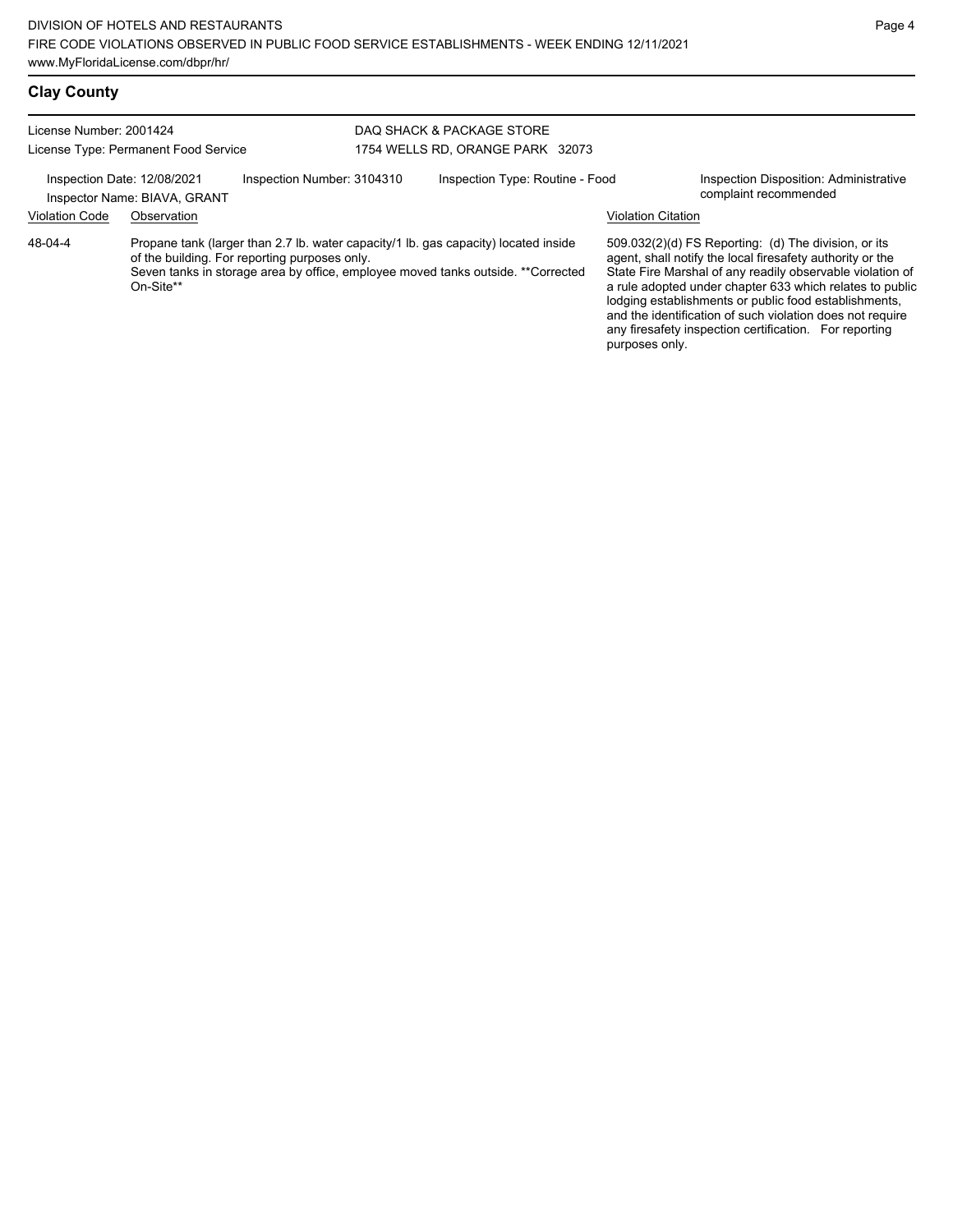| License Number: 2001424                                                                                                                                                                                                                          |             |  | DAQ SHACK & PACKAGE STORE        |                |                                                                                                                                                                                                                                                                                                                                                                                                                              |  |
|--------------------------------------------------------------------------------------------------------------------------------------------------------------------------------------------------------------------------------------------------|-------------|--|----------------------------------|----------------|------------------------------------------------------------------------------------------------------------------------------------------------------------------------------------------------------------------------------------------------------------------------------------------------------------------------------------------------------------------------------------------------------------------------------|--|
| License Type: Permanent Food Service                                                                                                                                                                                                             |             |  | 1754 WELLS RD, ORANGE PARK 32073 |                |                                                                                                                                                                                                                                                                                                                                                                                                                              |  |
| Inspection Number: 3104310<br>Inspection Date: 12/08/2021<br>Inspector Name: BIAVA, GRANT                                                                                                                                                        |             |  | Inspection Type: Routine - Food  |                | Inspection Disposition: Administrative<br>complaint recommended                                                                                                                                                                                                                                                                                                                                                              |  |
| <b>Violation Code</b>                                                                                                                                                                                                                            | Observation |  |                                  |                | Violation Citation                                                                                                                                                                                                                                                                                                                                                                                                           |  |
| 48-04-4<br>Propane tank (larger than 2.7 lb. water capacity/1 lb. gas capacity) located inside<br>of the building. For reporting purposes only.<br>Seven tanks in storage area by office, employee moved tanks outside. **Corrected<br>On-Site** |             |  |                                  | purposes only. | $509.032(2)(d)$ FS Reporting: (d) The division, or its<br>agent, shall notify the local firesafety authority or the<br>State Fire Marshal of any readily observable violation of<br>a rule adopted under chapter 633 which relates to public<br>lodging establishments or public food establishments,<br>and the identification of such violation does not require<br>any firesafety inspection certification. For reporting |  |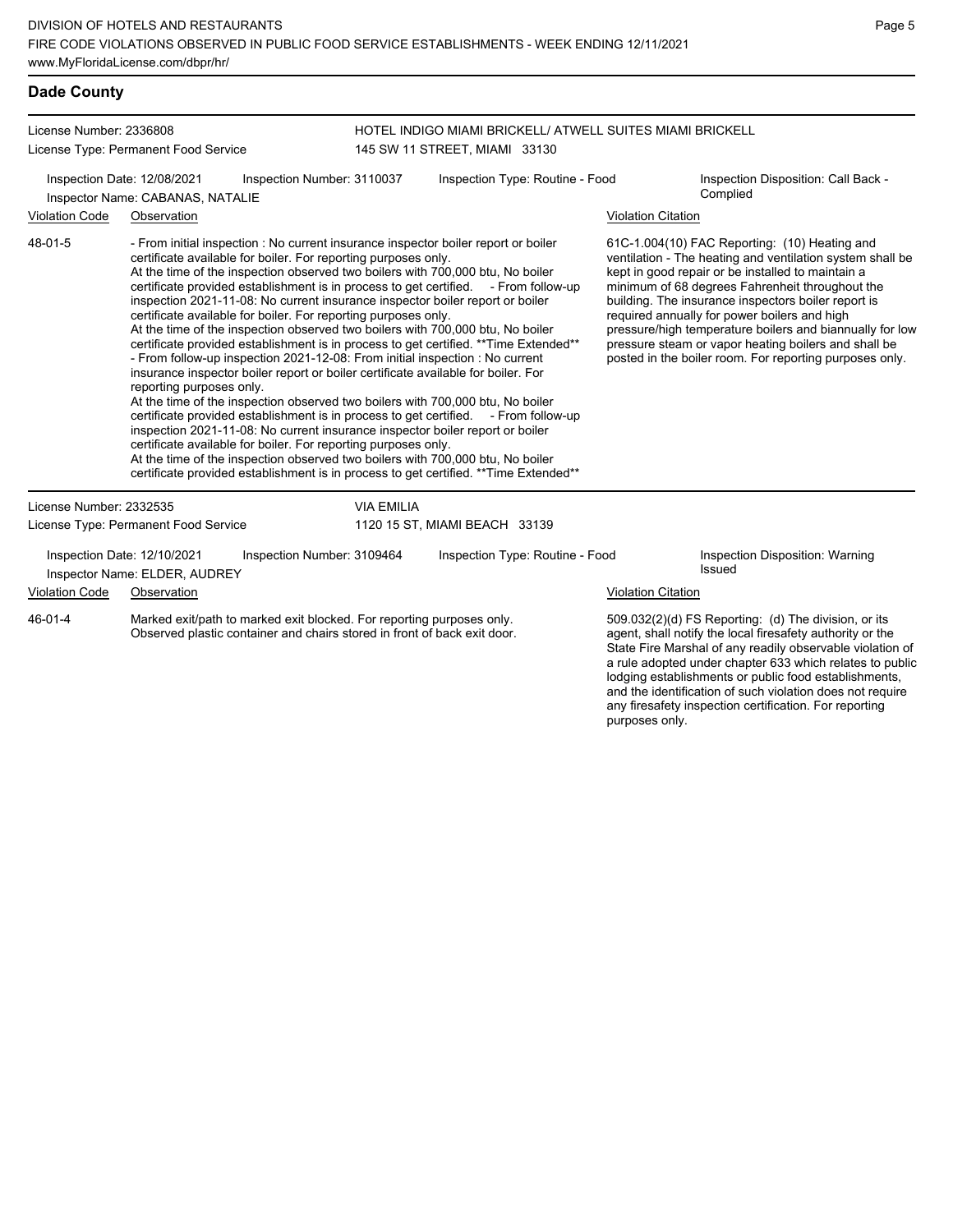#### **Dade County**

License Number: 2336808 License Type: Permanent Food Service HOTEL INDIGO MIAMI BRICKELL/ ATWELL SUITES MIAMI BRICKELL 145 SW 11 STREET, MIAMI 33130 Inspection Date: 12/08/2021 Inspection Number: 3110037 Inspection Type: Routine - Food Inspection Disposition: Call Back -Complied Inspector Name: CABANAS, NATALIE Violation Code Observation Violation Citation - From initial inspection : No current insurance inspector boiler report or boiler certificate available for boiler. For reporting purposes only. At the time of the inspection observed two boilers with 700,000 btu, No boiler certificate provided establishment is in process to get certified. - From follow-up inspection 2021-11-08: No current insurance inspector boiler report or boiler certificate available for boiler. For reporting purposes only. At the time of the inspection observed two boilers with 700,000 btu, No boiler certificate provided establishment is in process to get certified. \*\*Time Extended\*\* - From follow-up inspection 2021-12-08: From initial inspection : No current insurance inspector boiler report or boiler certificate available for boiler. For reporting purposes only. At the time of the inspection observed two boilers with 700,000 btu, No boiler certificate provided establishment is in process to get certified. - From follow-up inspection 2021-11-08: No current insurance inspector boiler report or boiler certificate available for boiler. For reporting purposes only. At the time of the inspection observed two boilers with 700,000 btu, No boiler certificate provided establishment is in process to get certified. \*\*Time Extended\*\* 61C-1.004(10) FAC Reporting: (10) Heating and ventilation - The heating and ventilation system shall be kept in good repair or be installed to maintain a minimum of 68 degrees Fahrenheit throughout the building. The insurance inspectors boiler report is required annually for power boilers and high pressure/high temperature boilers and biannually for low pressure steam or vapor heating boilers and shall be posted in the boiler room. For reporting purposes only. 48-01-5 License Number: 2332535 License Type: Permanent Food Service VIA EMILIA 1120 15 ST, MIAMI BEACH 33139 Inspection Date: 12/10/2021 Inspection Number: 3109464 Inspection Type: Routine - Food Inspection Disposition: Warning Inspector Name: ELDER, AUDREY **Inspector Name: ELDER**, AUDREY Violation Code Observation **Violation Citation** Violation Citation Citation Marked exit/path to marked exit blocked. For reporting purposes only. Observed plastic container and chairs stored in front of back exit door. 509.032(2)(d) FS Reporting: (d) The division, or its agent, shall notify the local firesafety authority or the State Fire Marshal of any readily observable violation of a rule adopted under chapter 633 which relates to public 46-01-4

lodging establishments or public food establishments, and the identification of such violation does not require any firesafety inspection certification. For reporting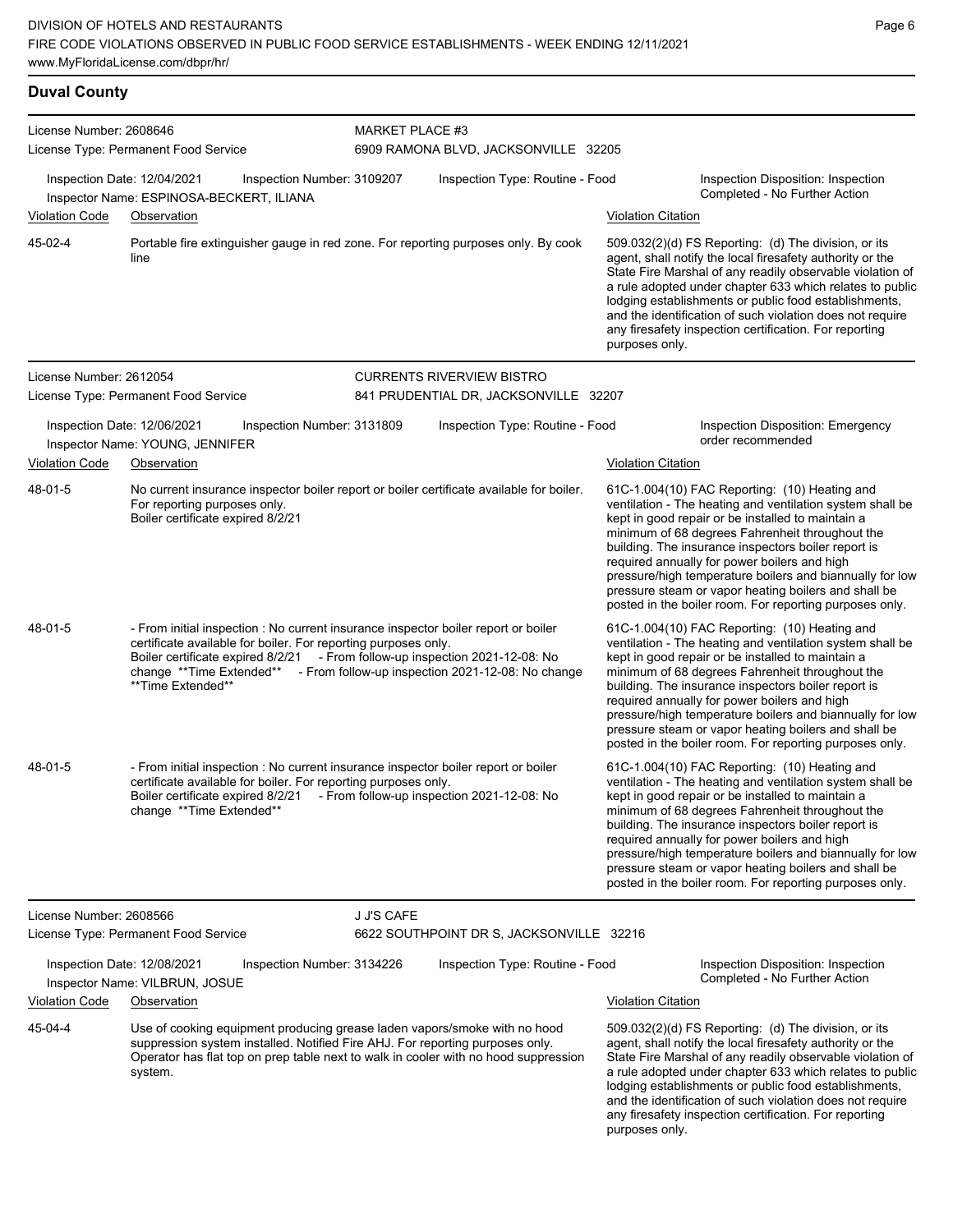#### **Duval County**

| License Number: 2608646 |                                                                                                                                                                                                                                                                                                                                         |                            | <b>MARKET PLACE #3</b>                   |                                                                                                                                                                                                                                                                                                                                                                                                                                                                                                          |  |  |  |
|-------------------------|-----------------------------------------------------------------------------------------------------------------------------------------------------------------------------------------------------------------------------------------------------------------------------------------------------------------------------------------|----------------------------|------------------------------------------|----------------------------------------------------------------------------------------------------------------------------------------------------------------------------------------------------------------------------------------------------------------------------------------------------------------------------------------------------------------------------------------------------------------------------------------------------------------------------------------------------------|--|--|--|
|                         | License Type: Permanent Food Service                                                                                                                                                                                                                                                                                                    |                            | 6909 RAMONA BLVD, JACKSONVILLE 32205     |                                                                                                                                                                                                                                                                                                                                                                                                                                                                                                          |  |  |  |
|                         | Inspection Date: 12/04/2021<br>Inspector Name: ESPINOSA-BECKERT, ILIANA                                                                                                                                                                                                                                                                 | Inspection Number: 3109207 | Inspection Type: Routine - Food          | Inspection Disposition: Inspection<br>Completed - No Further Action                                                                                                                                                                                                                                                                                                                                                                                                                                      |  |  |  |
| <b>Violation Code</b>   | Observation                                                                                                                                                                                                                                                                                                                             |                            |                                          | <b>Violation Citation</b>                                                                                                                                                                                                                                                                                                                                                                                                                                                                                |  |  |  |
| 45-02-4                 | Portable fire extinguisher gauge in red zone. For reporting purposes only. By cook<br>line                                                                                                                                                                                                                                              |                            |                                          | 509.032(2)(d) FS Reporting: (d) The division, or its<br>agent, shall notify the local firesafety authority or the<br>State Fire Marshal of any readily observable violation of<br>a rule adopted under chapter 633 which relates to public<br>lodging establishments or public food establishments,<br>and the identification of such violation does not require<br>any firesafety inspection certification. For reporting<br>purposes only.                                                             |  |  |  |
| License Number: 2612054 |                                                                                                                                                                                                                                                                                                                                         |                            | <b>CURRENTS RIVERVIEW BISTRO</b>         |                                                                                                                                                                                                                                                                                                                                                                                                                                                                                                          |  |  |  |
|                         | License Type: Permanent Food Service                                                                                                                                                                                                                                                                                                    |                            | 841 PRUDENTIAL DR, JACKSONVILLE 32207    |                                                                                                                                                                                                                                                                                                                                                                                                                                                                                                          |  |  |  |
|                         | Inspection Date: 12/06/2021<br>Inspector Name: YOUNG, JENNIFER                                                                                                                                                                                                                                                                          | Inspection Number: 3131809 | Inspection Type: Routine - Food          | <b>Inspection Disposition: Emergency</b><br>order recommended                                                                                                                                                                                                                                                                                                                                                                                                                                            |  |  |  |
| <b>Violation Code</b>   | Observation                                                                                                                                                                                                                                                                                                                             |                            |                                          | <b>Violation Citation</b>                                                                                                                                                                                                                                                                                                                                                                                                                                                                                |  |  |  |
| 48-01-5                 | No current insurance inspector boiler report or boiler certificate available for boiler.<br>For reporting purposes only.<br>Boiler certificate expired 8/2/21                                                                                                                                                                           |                            |                                          | 61C-1.004(10) FAC Reporting: (10) Heating and<br>ventilation - The heating and ventilation system shall be<br>kept in good repair or be installed to maintain a<br>minimum of 68 degrees Fahrenheit throughout the<br>building. The insurance inspectors boiler report is<br>required annually for power boilers and high<br>pressure/high temperature boilers and biannually for low<br>pressure steam or vapor heating boilers and shall be<br>posted in the boiler room. For reporting purposes only. |  |  |  |
| 48-01-5                 | - From initial inspection : No current insurance inspector boiler report or boiler<br>certificate available for boiler. For reporting purposes only.<br>Boiler certificate expired 8/2/21 - From follow-up inspection 2021-12-08: No<br>change **Time Extended** - From follow-up inspection 2021-12-08: No change<br>**Time Extended** |                            |                                          | 61C-1.004(10) FAC Reporting: (10) Heating and<br>ventilation - The heating and ventilation system shall be<br>kept in good repair or be installed to maintain a<br>minimum of 68 degrees Fahrenheit throughout the<br>building. The insurance inspectors boiler report is<br>required annually for power boilers and high<br>pressure/high temperature boilers and biannually for low<br>pressure steam or vapor heating boilers and shall be<br>posted in the boiler room. For reporting purposes only. |  |  |  |
| 48-01-5                 | - From initial inspection : No current insurance inspector boiler report or boiler<br>certificate available for boiler. For reporting purposes only.<br>Boiler certificate expired 8/2/21 - From follow-up inspection 2021-12-08: No<br>change ** Time Extended**                                                                       |                            |                                          | 61C-1.004(10) FAC Reporting: (10) Heating and<br>ventilation - The heating and ventilation system shall be<br>kept in good repair or be installed to maintain a<br>minimum of 68 degrees Fahrenheit throughout the<br>building. The insurance inspectors boiler report is<br>required annually for power boilers and high<br>pressure/high temperature boilers and biannually for low<br>pressure steam or vapor heating boilers and shall be<br>posted in the boiler room. For reporting purposes only. |  |  |  |
| License Number: 2608566 |                                                                                                                                                                                                                                                                                                                                         | <b>J J'S CAFE</b>          |                                          |                                                                                                                                                                                                                                                                                                                                                                                                                                                                                                          |  |  |  |
|                         | License Type: Permanent Food Service                                                                                                                                                                                                                                                                                                    |                            | 6622 SOUTHPOINT DR S, JACKSONVILLE 32216 |                                                                                                                                                                                                                                                                                                                                                                                                                                                                                                          |  |  |  |
|                         | Inspection Date: 12/08/2021<br>Inspector Name: VILBRUN, JOSUE                                                                                                                                                                                                                                                                           | Inspection Number: 3134226 | Inspection Type: Routine - Food          | Inspection Disposition: Inspection<br>Completed - No Further Action                                                                                                                                                                                                                                                                                                                                                                                                                                      |  |  |  |
| <b>Violation Code</b>   | Observation                                                                                                                                                                                                                                                                                                                             |                            |                                          | <b>Violation Citation</b>                                                                                                                                                                                                                                                                                                                                                                                                                                                                                |  |  |  |
| 45-04-4                 | Use of cooking equipment producing grease laden vapors/smoke with no hood<br>suppression system installed. Notified Fire AHJ. For reporting purposes only.<br>Operator has flat top on prep table next to walk in cooler with no hood suppression<br>system.                                                                            |                            |                                          | 509.032(2)(d) FS Reporting: (d) The division, or its<br>agent, shall notify the local firesafety authority or the<br>State Fire Marshal of any readily observable violation of<br>a rule adopted under chapter 633 which relates to public<br>lodging establishments or public food establishments,                                                                                                                                                                                                      |  |  |  |

and the identification of such violation does not require any firesafety inspection certification. For reporting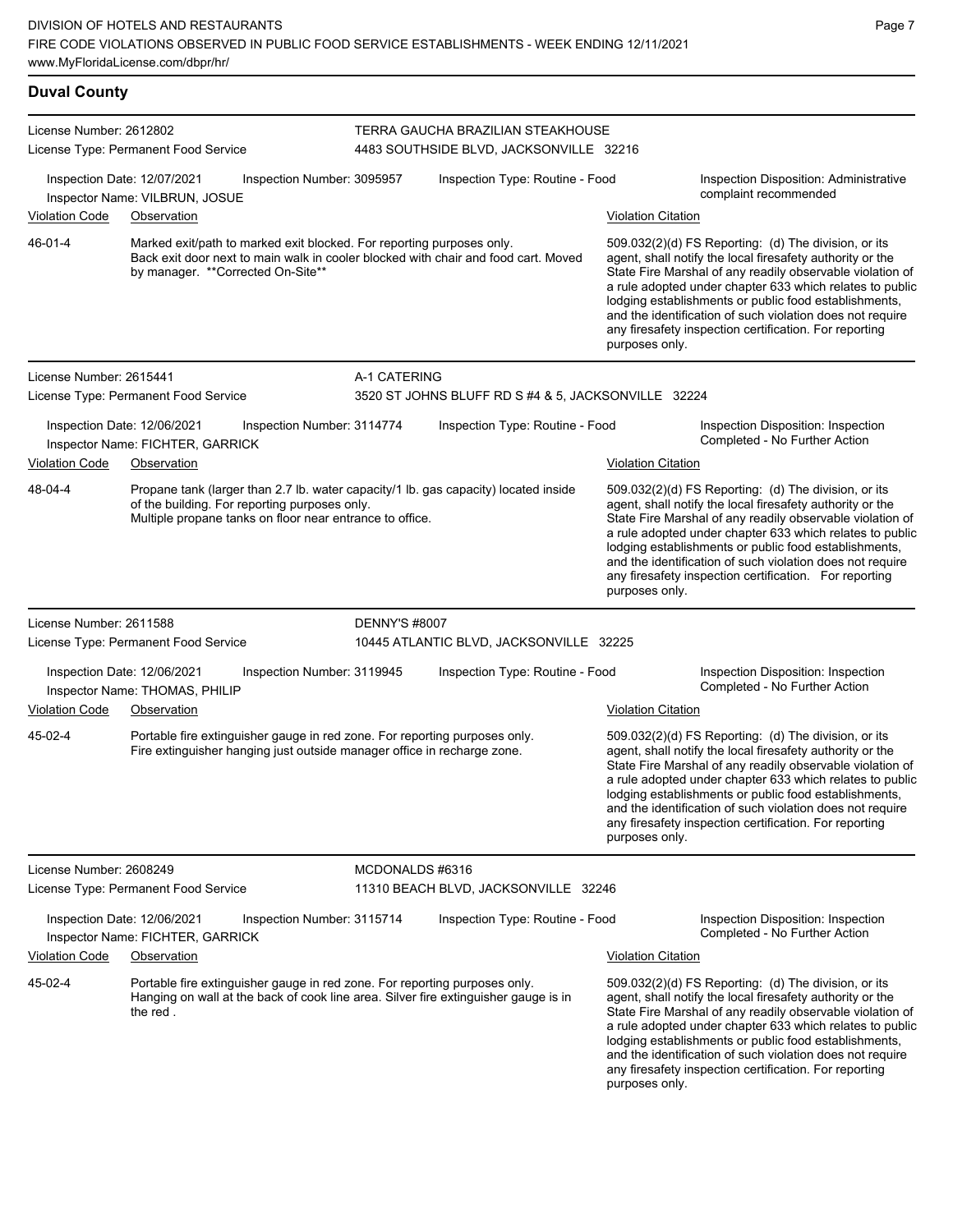**Duval County** License Number: 2612802 License Type: Permanent Food Service TERRA GAUCHA BRAZILIAN STEAKHOUSE 4483 SOUTHSIDE BLVD, JACKSONVILLE 32216 Inspection Date: 12/07/2021 Inspection Number: 3095957 Inspection Type: Routine - Food Inspection Disposition: Administrative complaint recommended Inspector Name: VILBRUN, JOSUE Violation Code Observation Violation Citation Marked exit/path to marked exit blocked. For reporting purposes only. Back exit door next to main walk in cooler blocked with chair and food cart. Moved by manager. \*\*Corrected On-Site\*\* 509.032(2)(d) FS Reporting: (d) The division, or its agent, shall notify the local firesafety authority or the State Fire Marshal of any readily observable violation of a rule adopted under chapter 633 which relates to public lodging establishments or public food establishments, and the identification of such violation does not require any firesafety inspection certification. For reporting purposes only. 46-01-4 License Number: 2615441 License Type: Permanent Food Service A-1 CATERING 3520 ST JOHNS BLUFF RD S #4 & 5, JACKSONVILLE 32224 Inspection Date: 12/06/2021 Inspection Number: 3114774 Inspection Type: Routine - Food Inspection Disposition: Inspection Inspector Name: FICHTER, GARRICK **Name: FICHTER, GARRICK** Name of Text of Text of Text of Text of Text of Text of Text of Text of Text of Text of Text of Text of Text of Text of Text of Text of Text of Text of Text of Text Violation Code Observation **Violation Citation** Violation Citation Citation Propane tank (larger than 2.7 lb. water capacity/1 lb. gas capacity) located inside of the building. For reporting purposes only. Multiple propane tanks on floor near entrance to office. 509.032(2)(d) FS Reporting: (d) The division, or its agent, shall notify the local firesafety authority or the State Fire Marshal of any readily observable violation of a rule adopted under chapter 633 which relates to public lodging establishments or public food establishments, and the identification of such violation does not require any firesafety inspection certification. For reporting purposes only. 48-04-4 License Number: 2611588 License Type: Permanent Food Service DENNY'S #8007 10445 ATLANTIC BLVD, JACKSONVILLE 32225 Inspection Date: 12/06/2021 Inspection Number: 3119945 Inspection Type: Routine - Food Inspection Disposition: Inspection<br>Inspector Name: THOMAS PHILIP Inspector Name: THOMAS, PHILIP Violation Code Observation Violation Citation Portable fire extinguisher gauge in red zone. For reporting purposes only. Fire extinguisher hanging just outside manager office in recharge zone. 509.032(2)(d) FS Reporting: (d) The division, or its agent, shall notify the local firesafety authority or the State Fire Marshal of any readily observable violation of a rule adopted under chapter 633 which relates to public lodging establishments or public food establishments, and the identification of such violation does not require any firesafety inspection certification. For reporting purposes only. 45-02-4 License Number: 2608249 License Type: Permanent Food Service MCDONALDS #6316 11310 BEACH BLVD, JACKSONVILLE 32246 Inspection Date: 12/06/2021 Inspection Number: 3115714 Inspection Type: Routine - Food Inspection Disposition: Inspection<br>Inspector Name: FICHTER GARRICK Inspector Name: FICHTER, GARRICK Violation Code Observation Violation Citation Portable fire extinguisher gauge in red zone. For reporting purposes only. Hanging on wall at the back of cook line area. Silver fire extinguisher gauge is in the red . 509.032(2)(d) FS Reporting: (d) The division, or its agent, shall notify the local firesafety authority or the State Fire Marshal of any readily observable violation of a rule adopted under chapter 633 which relates to public lodging establishments or public food establishments, and the identification of such violation does not require 45-02-4

any firesafety inspection certification. For reporting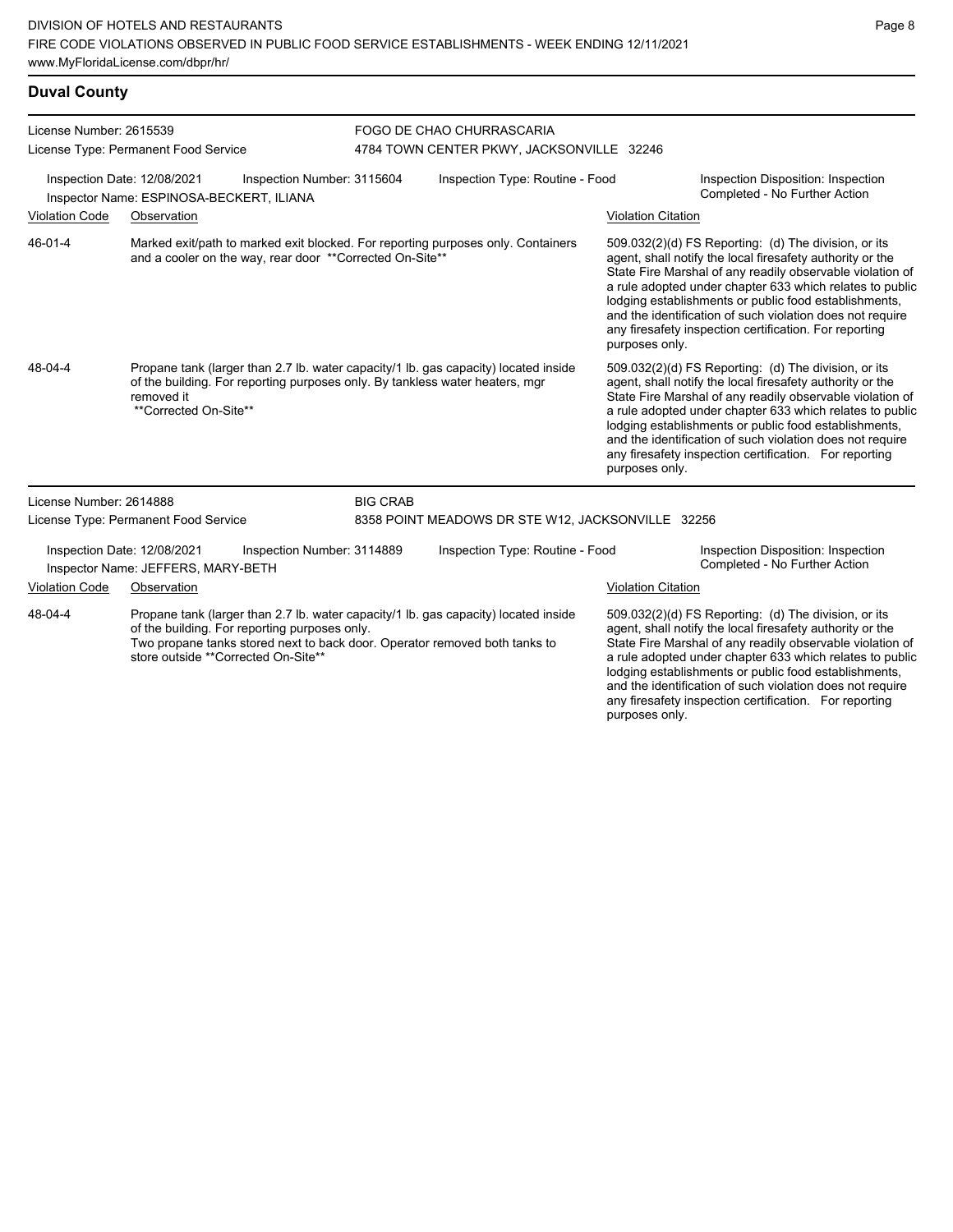### **Duval County**

| License Number: 2615539<br>License Type: Permanent Food Service |                                                                         |                                                          | FOGO DE CHAO CHURRASCARIA<br>4784 TOWN CENTER PKWY, JACKSONVILLE 32246 |                                                                                                                                                                     |                           |                                                                                                                                                                                                                                                                                                                                                                                                                            |
|-----------------------------------------------------------------|-------------------------------------------------------------------------|----------------------------------------------------------|------------------------------------------------------------------------|---------------------------------------------------------------------------------------------------------------------------------------------------------------------|---------------------------|----------------------------------------------------------------------------------------------------------------------------------------------------------------------------------------------------------------------------------------------------------------------------------------------------------------------------------------------------------------------------------------------------------------------------|
|                                                                 | Inspection Date: 12/08/2021<br>Inspector Name: ESPINOSA-BECKERT, ILIANA | Inspection Number: 3115604                               |                                                                        | Inspection Type: Routine - Food                                                                                                                                     |                           | Inspection Disposition: Inspection<br>Completed - No Further Action                                                                                                                                                                                                                                                                                                                                                        |
| <b>Violation Code</b>                                           | Observation                                                             |                                                          |                                                                        |                                                                                                                                                                     | <b>Violation Citation</b> |                                                                                                                                                                                                                                                                                                                                                                                                                            |
| $46 - 01 - 4$                                                   |                                                                         | and a cooler on the way, rear door **Corrected On-Site** |                                                                        | Marked exit/path to marked exit blocked. For reporting purposes only. Containers                                                                                    | purposes only.            | 509.032(2)(d) FS Reporting: (d) The division, or its<br>agent, shall notify the local firesafety authority or the<br>State Fire Marshal of any readily observable violation of<br>a rule adopted under chapter 633 which relates to public<br>lodging establishments or public food establishments,<br>and the identification of such violation does not require<br>any firesafety inspection certification. For reporting |
| 48-04-4                                                         | removed it<br>**Corrected On-Site**                                     |                                                          |                                                                        | Propane tank (larger than 2.7 lb. water capacity/1 lb. gas capacity) located inside<br>of the building. For reporting purposes only. By tankless water heaters, mgr | purposes only.            | 509.032(2)(d) FS Reporting: (d) The division, or its<br>agent, shall notify the local firesafety authority or the<br>State Fire Marshal of any readily observable violation of<br>a rule adopted under chapter 633 which relates to public<br>lodging establishments or public food establishments,<br>and the identification of such violation does not require<br>any firesafety inspection certification. For reporting |
| License Number: 2614888                                         |                                                                         |                                                          | <b>BIG CRAB</b>                                                        |                                                                                                                                                                     |                           |                                                                                                                                                                                                                                                                                                                                                                                                                            |
|                                                                 | License Type: Permanent Food Service                                    |                                                          | 8358 POINT MEADOWS DR STE W12, JACKSONVILLE 32256                      |                                                                                                                                                                     |                           |                                                                                                                                                                                                                                                                                                                                                                                                                            |
|                                                                 | Inspection Date: 12/08/2021<br>Inspector Name: JEFFERS, MARY-BETH       | Inspection Number: 3114889                               |                                                                        | Inspection Type: Routine - Food                                                                                                                                     |                           | Inspection Disposition: Inspection<br>Completed - No Further Action                                                                                                                                                                                                                                                                                                                                                        |
| <b>Violation Code</b>                                           | Observation                                                             |                                                          |                                                                        |                                                                                                                                                                     | <b>Violation Citation</b> |                                                                                                                                                                                                                                                                                                                                                                                                                            |
| 48-04-4                                                         | store outside **Corrected On-Site**                                     | of the building. For reporting purposes only.            |                                                                        | Propane tank (larger than 2.7 lb. water capacity/1 lb. gas capacity) located inside<br>Two propane tanks stored next to back door. Operator removed both tanks to   |                           | 509.032(2)(d) FS Reporting: (d) The division, or its<br>agent, shall notify the local firesafety authority or the<br>State Fire Marshal of any readily observable violation of<br>a rule adopted under chapter 633 which relates to public<br>lodging establishments or public food establishments,<br>and the identification of such violation does not require<br>any firesafety inspection certification. For reporting |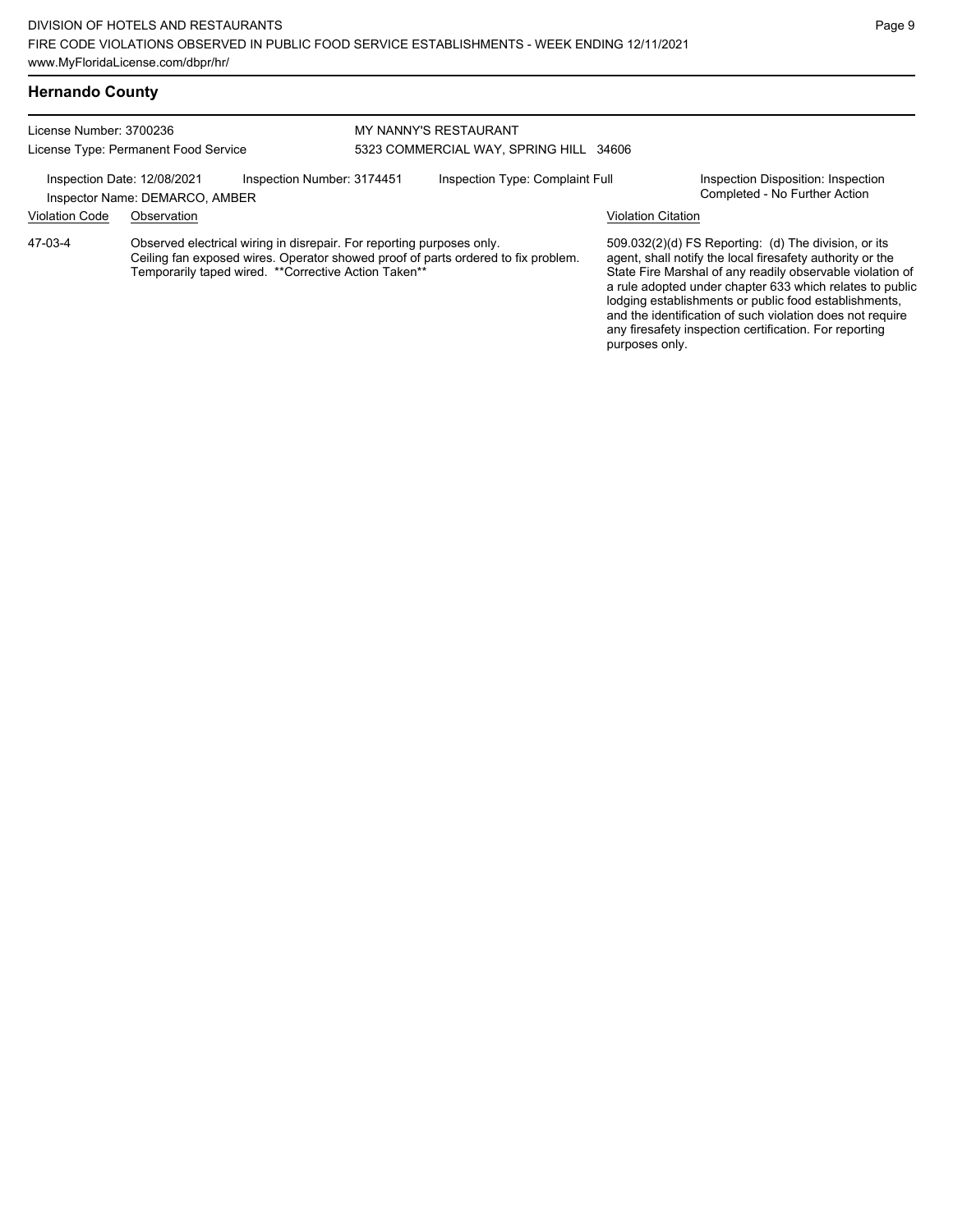### **Hernando County**

| License Number: 3700236<br>License Type: Permanent Food Service                                                                                                                                                                |             | <b>MY NANNY'S RESTAURANT</b><br>5323 COMMERCIAL WAY, SPRING HILL 34606 |                                 |  |                                                                                                                                                                                                                                                                                                                                                                                                                              |  |
|--------------------------------------------------------------------------------------------------------------------------------------------------------------------------------------------------------------------------------|-------------|------------------------------------------------------------------------|---------------------------------|--|------------------------------------------------------------------------------------------------------------------------------------------------------------------------------------------------------------------------------------------------------------------------------------------------------------------------------------------------------------------------------------------------------------------------------|--|
| Inspection Date: 12/08/2021<br>Inspection Number: 3174451<br>Inspector Name: DEMARCO, AMBER                                                                                                                                    |             |                                                                        | Inspection Type: Complaint Full |  | Inspection Disposition: Inspection<br>Completed - No Further Action                                                                                                                                                                                                                                                                                                                                                          |  |
| <b>Violation Code</b>                                                                                                                                                                                                          | Observation |                                                                        |                                 |  | <b>Violation Citation</b>                                                                                                                                                                                                                                                                                                                                                                                                    |  |
| Observed electrical wiring in disrepair. For reporting purposes only.<br>47-03-4<br>Ceiling fan exposed wires. Operator showed proof of parts ordered to fix problem.<br>Temporarily taped wired. ** Corrective Action Taken** |             |                                                                        |                                 |  | $509.032(2)(d)$ FS Reporting: (d) The division, or its<br>agent, shall notify the local firesafety authority or the<br>State Fire Marshal of any readily observable violation of<br>a rule adopted under chapter 633 which relates to public<br>lodging establishments or public food establishments,<br>and the identification of such violation does not require<br>any firesafety inspection certification. For reporting |  |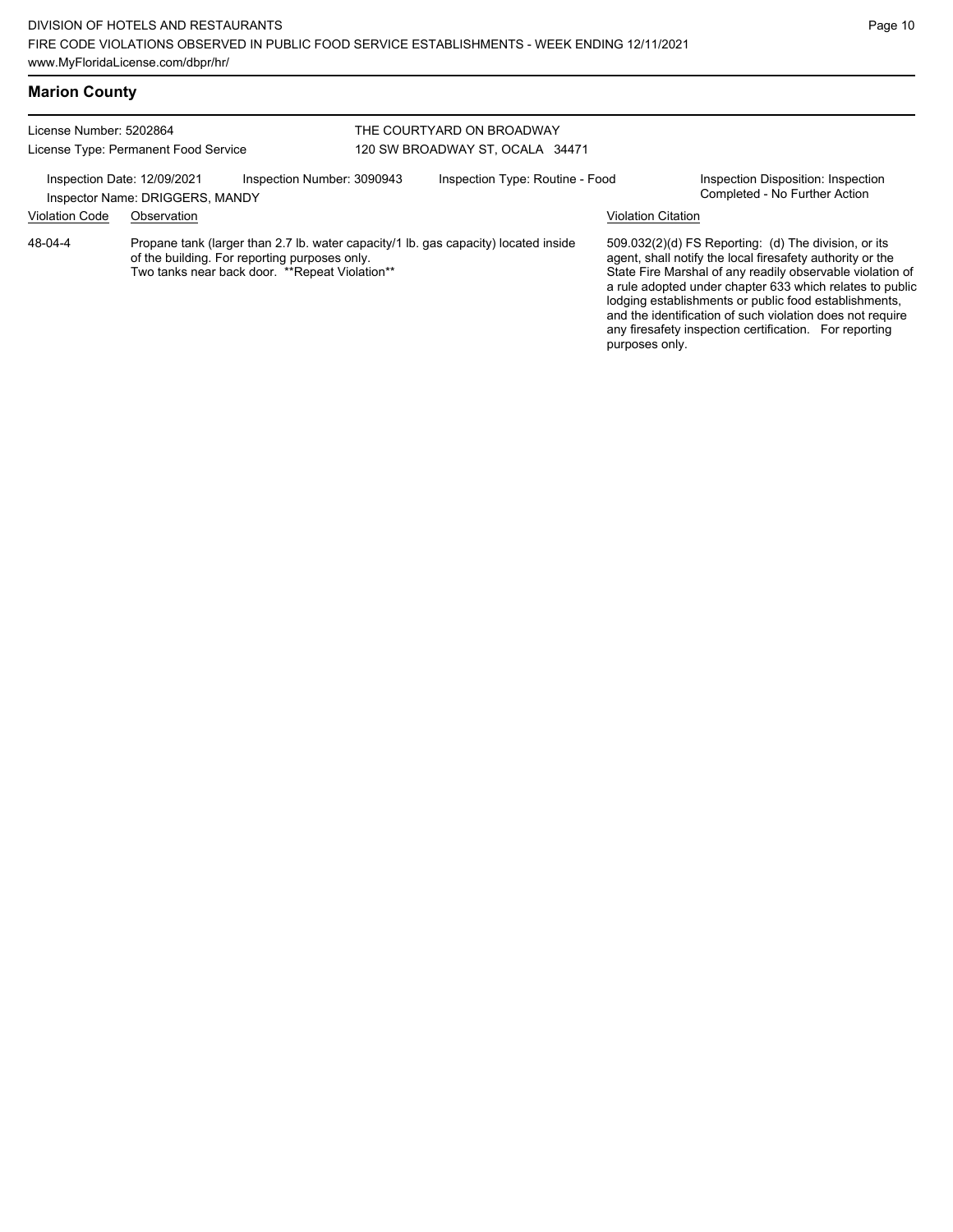# **Marion County**

#### License Number: 5202864 License Type: Permanent Food Service THE COURTYARD ON BROADWAY 120 SW BROADWAY ST, OCALA 34471 Inspection Date: 12/09/2021 Inspection Number: 3090943 Inspection Type: Routine - Food Inspection Disposition: Inspection<br>Inspector Name: DRIGGERS MANDY Inspector Name: DRIGGERS, MANDY Violation Code Observation Violation Citation Propane tank (larger than 2.7 lb. water capacity/1 lb. gas capacity) located inside of the building. For reporting purposes only. Two tanks near back door. \*\*Repeat Violation\*\* 509.032(2)(d) FS Reporting: (d) The division, or its agent, shall notify the local firesafety authority or the State Fire Marshal of any readily observable violation of a rule adopted under chapter 633 which relates to public lodging establishments or public food establishments, and the identification of such violation does not require any firesafety inspection certification. For reporting purposes only. 48-04-4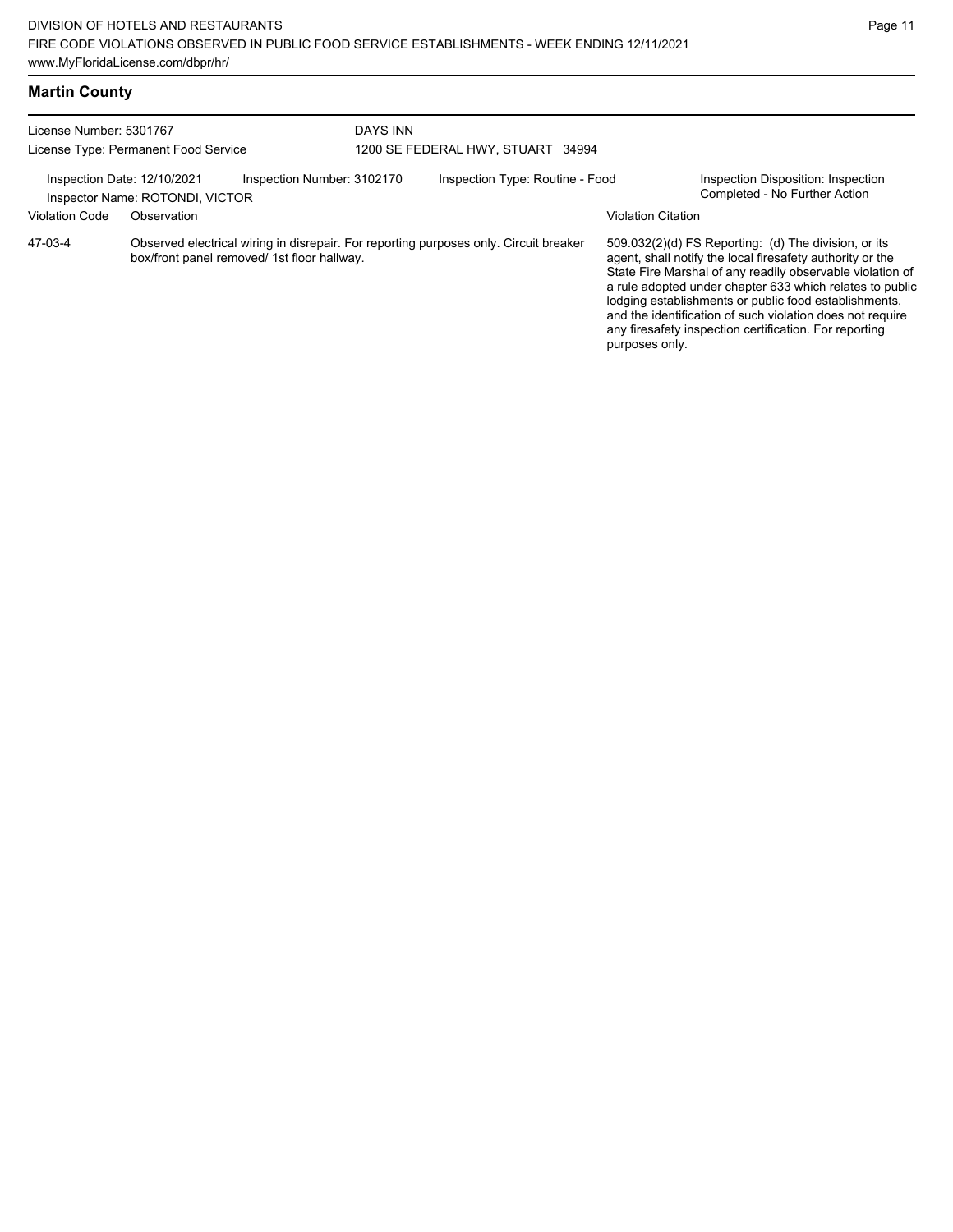|  | <b>Martin County</b> |
|--|----------------------|
|--|----------------------|

| License Number: 5301767<br>License Type: Permanent Food Service |                                 | <b>DAYS INN</b><br>1200 SE FEDERAL HWY, STUART 34994                                                                                 |  |                                 |                           |                                                                                                                                                                                                                                                                                                                                                                                                                            |
|-----------------------------------------------------------------|---------------------------------|--------------------------------------------------------------------------------------------------------------------------------------|--|---------------------------------|---------------------------|----------------------------------------------------------------------------------------------------------------------------------------------------------------------------------------------------------------------------------------------------------------------------------------------------------------------------------------------------------------------------------------------------------------------------|
| Inspection Date: 12/10/2021                                     | Inspector Name: ROTONDI, VICTOR | Inspection Number: 3102170                                                                                                           |  | Inspection Type: Routine - Food |                           | Inspection Disposition: Inspection<br>Completed - No Further Action                                                                                                                                                                                                                                                                                                                                                        |
| <b>Violation Code</b>                                           | Observation                     |                                                                                                                                      |  |                                 | <b>Violation Citation</b> |                                                                                                                                                                                                                                                                                                                                                                                                                            |
| 47-03-4                                                         |                                 | Observed electrical wiring in disrepair. For reporting purposes only. Circuit breaker<br>box/front panel removed/ 1st floor hallway. |  |                                 | purposes only.            | 509.032(2)(d) FS Reporting: (d) The division, or its<br>agent, shall notify the local firesafety authority or the<br>State Fire Marshal of any readily observable violation of<br>a rule adopted under chapter 633 which relates to public<br>lodging establishments or public food establishments,<br>and the identification of such violation does not require<br>any firesafety inspection certification. For reporting |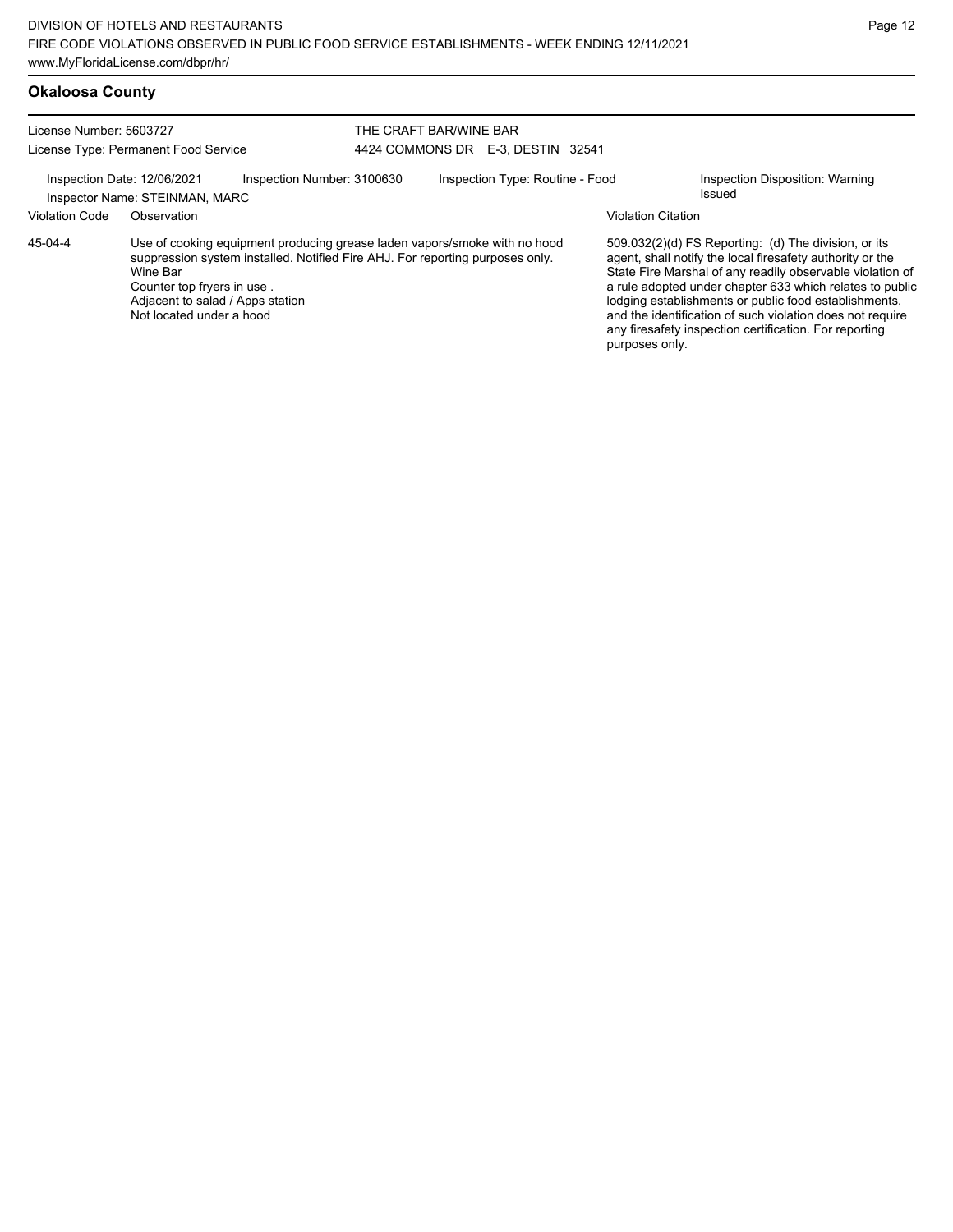## **Okaloosa County**

| License Number: 5603727<br>License Type: Permanent Food Service |                                                                                                                                                                                                                                                                      |                            | THE CRAFT BAR/WINE BAR<br>4424 COMMONS DR E-3, DESTIN 32541 |                           |                                                                                                                                                                                                                                                                                                                                                                                                                            |  |
|-----------------------------------------------------------------|----------------------------------------------------------------------------------------------------------------------------------------------------------------------------------------------------------------------------------------------------------------------|----------------------------|-------------------------------------------------------------|---------------------------|----------------------------------------------------------------------------------------------------------------------------------------------------------------------------------------------------------------------------------------------------------------------------------------------------------------------------------------------------------------------------------------------------------------------------|--|
| Inspection Date: 12/06/2021                                     | Inspector Name: STEINMAN, MARC                                                                                                                                                                                                                                       | Inspection Number: 3100630 | Inspection Type: Routine - Food                             |                           | Inspection Disposition: Warning<br>Issued                                                                                                                                                                                                                                                                                                                                                                                  |  |
| <b>Violation Code</b>                                           | Observation                                                                                                                                                                                                                                                          |                            |                                                             | <b>Violation Citation</b> |                                                                                                                                                                                                                                                                                                                                                                                                                            |  |
| 45-04-4                                                         | Use of cooking equipment producing grease laden vapors/smoke with no hood<br>suppression system installed. Notified Fire AHJ. For reporting purposes only.<br>Wine Bar<br>Counter top fryers in use.<br>Adjacent to salad / Apps station<br>Not located under a hood |                            |                                                             | purposes only.            | 509.032(2)(d) FS Reporting: (d) The division, or its<br>agent, shall notify the local firesafety authority or the<br>State Fire Marshal of any readily observable violation of<br>a rule adopted under chapter 633 which relates to public<br>lodging establishments or public food establishments,<br>and the identification of such violation does not require<br>any firesafety inspection certification. For reporting |  |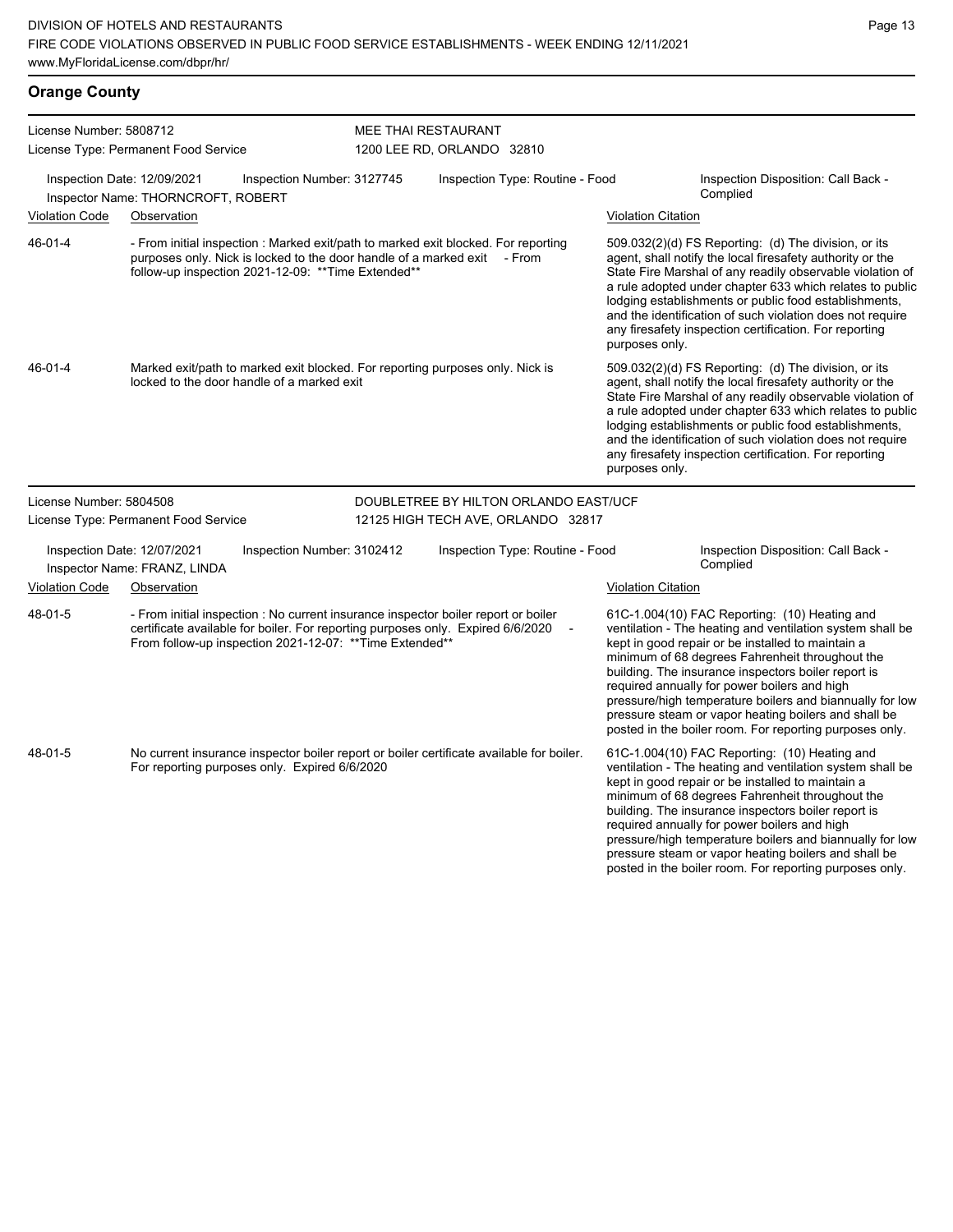# **Orange County**

| License Number: 5808712 |                                                                                                                                                                                                                                   | MEE THAI RESTAURANT                   |                           |                                                                                                                                                                                                                                                                                                                                                                                                                                                                                                          |
|-------------------------|-----------------------------------------------------------------------------------------------------------------------------------------------------------------------------------------------------------------------------------|---------------------------------------|---------------------------|----------------------------------------------------------------------------------------------------------------------------------------------------------------------------------------------------------------------------------------------------------------------------------------------------------------------------------------------------------------------------------------------------------------------------------------------------------------------------------------------------------|
|                         | License Type: Permanent Food Service                                                                                                                                                                                              | 1200 LEE RD, ORLANDO 32810            |                           |                                                                                                                                                                                                                                                                                                                                                                                                                                                                                                          |
|                         | Inspection Date: 12/09/2021<br>Inspection Number: 3127745<br>Inspector Name: THORNCROFT, ROBERT                                                                                                                                   | Inspection Type: Routine - Food       |                           | Inspection Disposition: Call Back -<br>Complied                                                                                                                                                                                                                                                                                                                                                                                                                                                          |
| <b>Violation Code</b>   | Observation                                                                                                                                                                                                                       |                                       | <b>Violation Citation</b> |                                                                                                                                                                                                                                                                                                                                                                                                                                                                                                          |
| 46-01-4                 | - From initial inspection : Marked exit/path to marked exit blocked. For reporting<br>purposes only. Nick is locked to the door handle of a marked exit - From<br>follow-up inspection 2021-12-09: ** Time Extended**             |                                       | purposes only.            | 509.032(2)(d) FS Reporting: (d) The division, or its<br>agent, shall notify the local firesafety authority or the<br>State Fire Marshal of any readily observable violation of<br>a rule adopted under chapter 633 which relates to public<br>lodging establishments or public food establishments,<br>and the identification of such violation does not require<br>any firesafety inspection certification. For reporting                                                                               |
| 46-01-4                 | Marked exit/path to marked exit blocked. For reporting purposes only. Nick is<br>locked to the door handle of a marked exit                                                                                                       |                                       | purposes only.            | 509.032(2)(d) FS Reporting: (d) The division, or its<br>agent, shall notify the local firesafety authority or the<br>State Fire Marshal of any readily observable violation of<br>a rule adopted under chapter 633 which relates to public<br>lodging establishments or public food establishments,<br>and the identification of such violation does not require<br>any firesafety inspection certification. For reporting                                                                               |
| License Number: 5804508 |                                                                                                                                                                                                                                   | DOUBLETREE BY HILTON ORLANDO EAST/UCF |                           |                                                                                                                                                                                                                                                                                                                                                                                                                                                                                                          |
|                         | License Type: Permanent Food Service                                                                                                                                                                                              | 12125 HIGH TECH AVE, ORLANDO 32817    |                           |                                                                                                                                                                                                                                                                                                                                                                                                                                                                                                          |
|                         | Inspection Date: 12/07/2021<br>Inspection Number: 3102412<br>Inspector Name: FRANZ, LINDA                                                                                                                                         | Inspection Type: Routine - Food       |                           | Inspection Disposition: Call Back -<br>Complied                                                                                                                                                                                                                                                                                                                                                                                                                                                          |
| <b>Violation Code</b>   | Observation                                                                                                                                                                                                                       |                                       | <b>Violation Citation</b> |                                                                                                                                                                                                                                                                                                                                                                                                                                                                                                          |
| 48-01-5                 | - From initial inspection : No current insurance inspector boiler report or boiler<br>certificate available for boiler. For reporting purposes only. Expired 6/6/2020<br>From follow-up inspection 2021-12-07: ** Time Extended** |                                       |                           | 61C-1.004(10) FAC Reporting: (10) Heating and<br>ventilation - The heating and ventilation system shall be<br>kept in good repair or be installed to maintain a<br>minimum of 68 degrees Fahrenheit throughout the<br>building. The insurance inspectors boiler report is<br>required annually for power boilers and high<br>pressure/high temperature boilers and biannually for low<br>pressure steam or vapor heating boilers and shall be<br>posted in the boiler room. For reporting purposes only. |
| 48-01-5                 | No current insurance inspector boiler report or boiler certificate available for boiler.<br>For reporting purposes only. Expired 6/6/2020                                                                                         |                                       |                           | 61C-1.004(10) FAC Reporting: (10) Heating and<br>ventilation - The heating and ventilation system shall be<br>kept in good repair or be installed to maintain a<br>minimum of 68 degrees Fahrenheit throughout the<br>building. The insurance inspectors boiler report is<br>required annually for power boilers and high<br>pressure/high temperature boilers and biannually for low<br>pressure steam or vapor heating boilers and shall be<br>posted in the boiler room. For reporting purposes only. |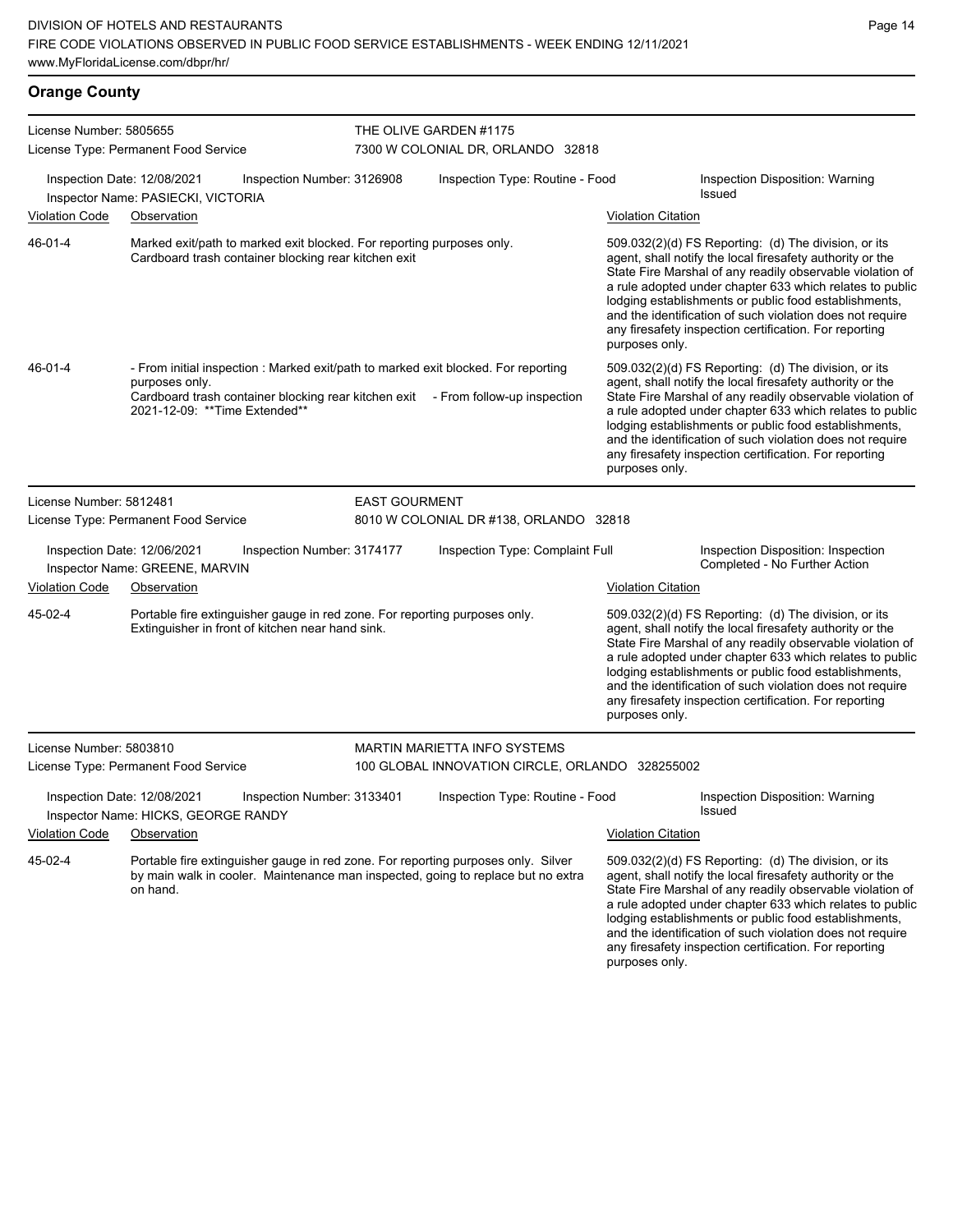## **Orange County**

| License Number: 5805655 | License Type: Permanent Food Service                                                                                                                                                                                      |                      | THE OLIVE GARDEN #1175<br>7300 W COLONIAL DR, ORLANDO 32818 |                           |                                                                                                                                                                                                                                                                                                                                                                                                                            |
|-------------------------|---------------------------------------------------------------------------------------------------------------------------------------------------------------------------------------------------------------------------|----------------------|-------------------------------------------------------------|---------------------------|----------------------------------------------------------------------------------------------------------------------------------------------------------------------------------------------------------------------------------------------------------------------------------------------------------------------------------------------------------------------------------------------------------------------------|
|                         | Inspection Date: 12/08/2021<br>Inspection Number: 3126908<br>Inspector Name: PASIECKI, VICTORIA                                                                                                                           |                      | Inspection Type: Routine - Food                             |                           | Inspection Disposition: Warning<br><b>Issued</b>                                                                                                                                                                                                                                                                                                                                                                           |
| <b>Violation Code</b>   | Observation                                                                                                                                                                                                               |                      |                                                             | <b>Violation Citation</b> |                                                                                                                                                                                                                                                                                                                                                                                                                            |
| 46-01-4                 | Marked exit/path to marked exit blocked. For reporting purposes only.<br>Cardboard trash container blocking rear kitchen exit                                                                                             |                      |                                                             | purposes only.            | 509.032(2)(d) FS Reporting: (d) The division, or its<br>agent, shall notify the local firesafety authority or the<br>State Fire Marshal of any readily observable violation of<br>a rule adopted under chapter 633 which relates to public<br>lodging establishments or public food establishments,<br>and the identification of such violation does not require<br>any firesafety inspection certification. For reporting |
| 46-01-4                 | - From initial inspection : Marked exit/path to marked exit blocked. For reporting<br>purposes only.<br>Cardboard trash container blocking rear kitchen exit - From follow-up inspection<br>2021-12-09: **Time Extended** |                      |                                                             | purposes only.            | 509.032(2)(d) FS Reporting: (d) The division, or its<br>agent, shall notify the local firesafety authority or the<br>State Fire Marshal of any readily observable violation of<br>a rule adopted under chapter 633 which relates to public<br>lodging establishments or public food establishments,<br>and the identification of such violation does not require<br>any firesafety inspection certification. For reporting |
| License Number: 5812481 |                                                                                                                                                                                                                           | <b>EAST GOURMENT</b> |                                                             |                           |                                                                                                                                                                                                                                                                                                                                                                                                                            |
|                         | License Type: Permanent Food Service                                                                                                                                                                                      |                      | 8010 W COLONIAL DR #138, ORLANDO 32818                      |                           |                                                                                                                                                                                                                                                                                                                                                                                                                            |
|                         | Inspection Date: 12/06/2021<br>Inspection Number: 3174177<br>Inspector Name: GREENE, MARVIN                                                                                                                               |                      | Inspection Type: Complaint Full                             |                           | Inspection Disposition: Inspection<br>Completed - No Further Action                                                                                                                                                                                                                                                                                                                                                        |
| Violation Code          | Observation                                                                                                                                                                                                               |                      |                                                             | <b>Violation Citation</b> |                                                                                                                                                                                                                                                                                                                                                                                                                            |
| 45-02-4                 | Portable fire extinguisher gauge in red zone. For reporting purposes only.<br>Extinguisher in front of kitchen near hand sink.                                                                                            |                      |                                                             | purposes only.            | 509.032(2)(d) FS Reporting: (d) The division, or its<br>agent, shall notify the local firesafety authority or the<br>State Fire Marshal of any readily observable violation of<br>a rule adopted under chapter 633 which relates to public<br>lodging establishments or public food establishments,<br>and the identification of such violation does not require<br>any firesafety inspection certification. For reporting |
| License Number: 5803810 |                                                                                                                                                                                                                           |                      | <b>MARTIN MARIETTA INFO SYSTEMS</b>                         |                           |                                                                                                                                                                                                                                                                                                                                                                                                                            |
|                         | License Type: Permanent Food Service                                                                                                                                                                                      |                      | 100 GLOBAL INNOVATION CIRCLE, ORLANDO 328255002             |                           |                                                                                                                                                                                                                                                                                                                                                                                                                            |
|                         | Inspection Date: 12/08/2021<br>Inspection Number: 3133401<br>Inspector Name: HICKS, GEORGE RANDY                                                                                                                          |                      | Inspection Type: Routine - Food                             |                           | Inspection Disposition: Warning<br>Issued                                                                                                                                                                                                                                                                                                                                                                                  |
| <b>Violation Code</b>   | Observation                                                                                                                                                                                                               |                      |                                                             | <b>Violation Citation</b> |                                                                                                                                                                                                                                                                                                                                                                                                                            |
| 45-02-4                 | Portable fire extinguisher gauge in red zone. For reporting purposes only. Silver<br>by main walk in cooler. Maintenance man inspected, going to replace but no extra<br>on hand.                                         |                      |                                                             | purposes only.            | 509.032(2)(d) FS Reporting: (d) The division, or its<br>agent, shall notify the local firesafety authority or the<br>State Fire Marshal of any readily observable violation of<br>a rule adopted under chapter 633 which relates to public<br>lodging establishments or public food establishments,<br>and the identification of such violation does not require<br>any firesafety inspection certification. For reporting |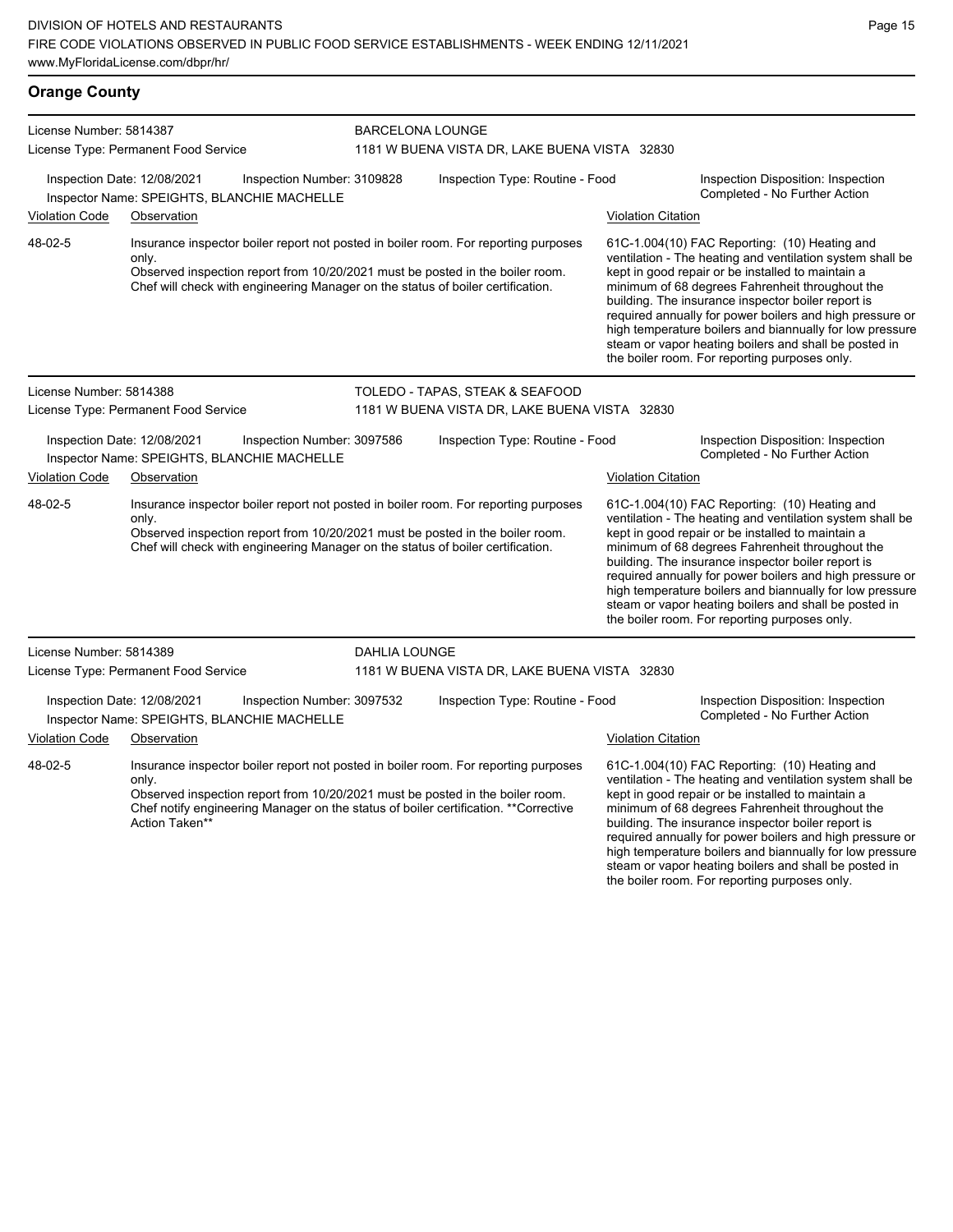#### **Orange County** License Number: 5814387 License Type: Permanent Food Service BARCELONA LOUNGE 1181 W BUENA VISTA DR, LAKE BUENA VISTA 32830 Inspection Date: 12/08/2021 Inspection Number: 3109828 Inspection Type: Routine - Food Inspection Disposition: Inspection Inspector Name: SPEIGHTS, BLANCHIE MACHELLE **Action** Inspector Name: SPEIGHTS, BLANCHIELLE Violation Code Observation Violation Citation Insurance inspector boiler report not posted in boiler room. For reporting purposes only. Observed inspection report from 10/20/2021 must be posted in the boiler room. Chef will check with engineering Manager on the status of boiler certification. 61C-1.004(10) FAC Reporting: (10) Heating and ventilation - The heating and ventilation system shall be kept in good repair or be installed to maintain a minimum of 68 degrees Fahrenheit throughout the building. The insurance inspector boiler report is required annually for power boilers and high pressure or high temperature boilers and biannually for low pressure steam or vapor heating boilers and shall be posted in the boiler room. For reporting purposes only. 48-02-5 License Number: 5814388 License Type: Permanent Food Service TOLEDO - TAPAS, STEAK & SEAFOOD 1181 W BUENA VISTA DR, LAKE BUENA VISTA 32830 Inspection Date: 12/08/2021 Inspection Number: 3097586 Inspection Type: Routine - Food Inspection Disposition: Inspection Inspector Name: SPEIGHTS, BLANCHIE MACHELLE Violation Code Observation Violation Citation Insurance inspector boiler report not posted in boiler room. For reporting purposes only. Observed inspection report from 10/20/2021 must be posted in the boiler room. Chef will check with engineering Manager on the status of boiler certification. 61C-1.004(10) FAC Reporting: (10) Heating and ventilation - The heating and ventilation system shall be kept in good repair or be installed to maintain a minimum of 68 degrees Fahrenheit throughout the building. The insurance inspector boiler report is required annually for power boilers and high pressure or high temperature boilers and biannually for low pressure steam or vapor heating boilers and shall be posted in the boiler room. For reporting purposes only. 48-02-5 License Number: 5814389 License Type: Permanent Food Service DAHLIA LOUNGE 1181 W BUENA VISTA DR, LAKE BUENA VISTA 32830 Inspection Date: 12/08/2021 Inspection Number: 3097532 Inspection Type: Routine - Food Inspection Disposition: Inspection Inspector Name: SPEIGHTS, BLANCHIE MACHELLE<br> **Inspector Name: SPEIGHTS, BLANCHIE MACHELLE** Violation Code Observation Violation Citation Insurance inspector boiler report not posted in boiler room. For reporting purposes only. Observed inspection report from 10/20/2021 must be posted in the boiler room. 61C-1.004(10) FAC Reporting: (10) Heating and ventilation - The heating and ventilation system shall be kept in good repair or be installed to maintain a 48-02-5

Chef notify engineering Manager on the status of boiler certification. \*\*Corrective Action Taken\*

# minimum of 68 degrees Fahrenheit throughout the building. The insurance inspector boiler report is required annually for power boilers and high pressure or high temperature boilers and biannually for low pressure steam or vapor heating boilers and shall be posted in the boiler room. For reporting purposes only.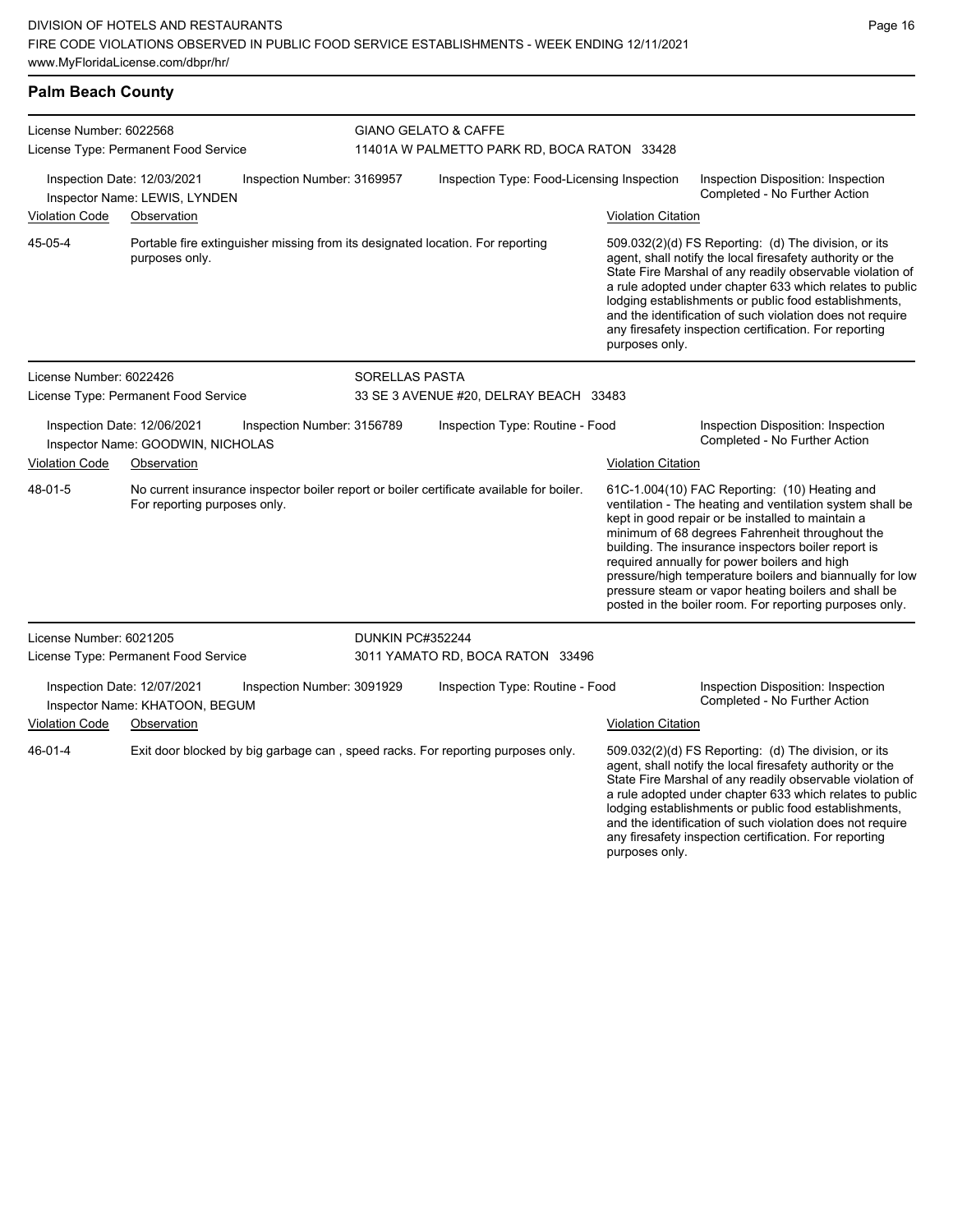#### **Palm Beach County**

| License Number: 6022568 |                                                                                                                          |                            | GIANO GELATO & CAFFE                        |                           |                                                                                                                                                                                                                                                                                                                                                                                                                                                                                                          |  |
|-------------------------|--------------------------------------------------------------------------------------------------------------------------|----------------------------|---------------------------------------------|---------------------------|----------------------------------------------------------------------------------------------------------------------------------------------------------------------------------------------------------------------------------------------------------------------------------------------------------------------------------------------------------------------------------------------------------------------------------------------------------------------------------------------------------|--|
|                         | License Type: Permanent Food Service                                                                                     |                            | 11401A W PALMETTO PARK RD, BOCA RATON 33428 |                           |                                                                                                                                                                                                                                                                                                                                                                                                                                                                                                          |  |
|                         | Inspection Date: 12/03/2021<br>Inspector Name: LEWIS, LYNDEN                                                             | Inspection Number: 3169957 | Inspection Type: Food-Licensing Inspection  |                           | Inspection Disposition: Inspection<br>Completed - No Further Action                                                                                                                                                                                                                                                                                                                                                                                                                                      |  |
| <b>Violation Code</b>   | Observation                                                                                                              |                            |                                             | <b>Violation Citation</b> |                                                                                                                                                                                                                                                                                                                                                                                                                                                                                                          |  |
| 45-05-4                 | Portable fire extinguisher missing from its designated location. For reporting<br>purposes only.                         |                            |                                             | purposes only.            | 509.032(2)(d) FS Reporting: (d) The division, or its<br>agent, shall notify the local firesafety authority or the<br>State Fire Marshal of any readily observable violation of<br>a rule adopted under chapter 633 which relates to public<br>lodging establishments or public food establishments,<br>and the identification of such violation does not require<br>any firesafety inspection certification. For reporting                                                                               |  |
| License Number: 6022426 |                                                                                                                          | <b>SORELLAS PASTA</b>      |                                             |                           |                                                                                                                                                                                                                                                                                                                                                                                                                                                                                                          |  |
|                         | License Type: Permanent Food Service                                                                                     |                            | 33 SE 3 AVENUE #20, DELRAY BEACH 33483      |                           |                                                                                                                                                                                                                                                                                                                                                                                                                                                                                                          |  |
|                         | Inspection Date: 12/06/2021<br>Inspector Name: GOODWIN, NICHOLAS                                                         | Inspection Number: 3156789 | Inspection Type: Routine - Food             |                           | Inspection Disposition: Inspection<br>Completed - No Further Action                                                                                                                                                                                                                                                                                                                                                                                                                                      |  |
| <b>Violation Code</b>   | Observation                                                                                                              |                            |                                             | <b>Violation Citation</b> |                                                                                                                                                                                                                                                                                                                                                                                                                                                                                                          |  |
| 48-01-5                 | No current insurance inspector boiler report or boiler certificate available for boiler.<br>For reporting purposes only. |                            |                                             |                           | 61C-1.004(10) FAC Reporting: (10) Heating and<br>ventilation - The heating and ventilation system shall be<br>kept in good repair or be installed to maintain a<br>minimum of 68 degrees Fahrenheit throughout the<br>building. The insurance inspectors boiler report is<br>required annually for power boilers and high<br>pressure/high temperature boilers and biannually for low<br>pressure steam or vapor heating boilers and shall be<br>posted in the boiler room. For reporting purposes only. |  |
| License Number: 6021205 |                                                                                                                          | DUNKIN PC#352244           |                                             |                           |                                                                                                                                                                                                                                                                                                                                                                                                                                                                                                          |  |
|                         | License Type: Permanent Food Service                                                                                     |                            | 3011 YAMATO RD, BOCA RATON 33496            |                           |                                                                                                                                                                                                                                                                                                                                                                                                                                                                                                          |  |
|                         | Inspection Date: 12/07/2021<br>Inspector Name: KHATOON, BEGUM                                                            | Inspection Number: 3091929 | Inspection Type: Routine - Food             |                           | Inspection Disposition: Inspection<br>Completed - No Further Action                                                                                                                                                                                                                                                                                                                                                                                                                                      |  |
| <b>Violation Code</b>   | Observation                                                                                                              |                            |                                             | <b>Violation Citation</b> |                                                                                                                                                                                                                                                                                                                                                                                                                                                                                                          |  |
| 46-01-4                 | Exit door blocked by big garbage can, speed racks. For reporting purposes only.                                          |                            |                                             | purposes only.            | 509.032(2)(d) FS Reporting: (d) The division, or its<br>agent, shall notify the local firesafety authority or the<br>State Fire Marshal of any readily observable violation of<br>a rule adopted under chapter 633 which relates to public<br>lodging establishments or public food establishments,<br>and the identification of such violation does not require<br>any firesafety inspection certification. For reporting                                                                               |  |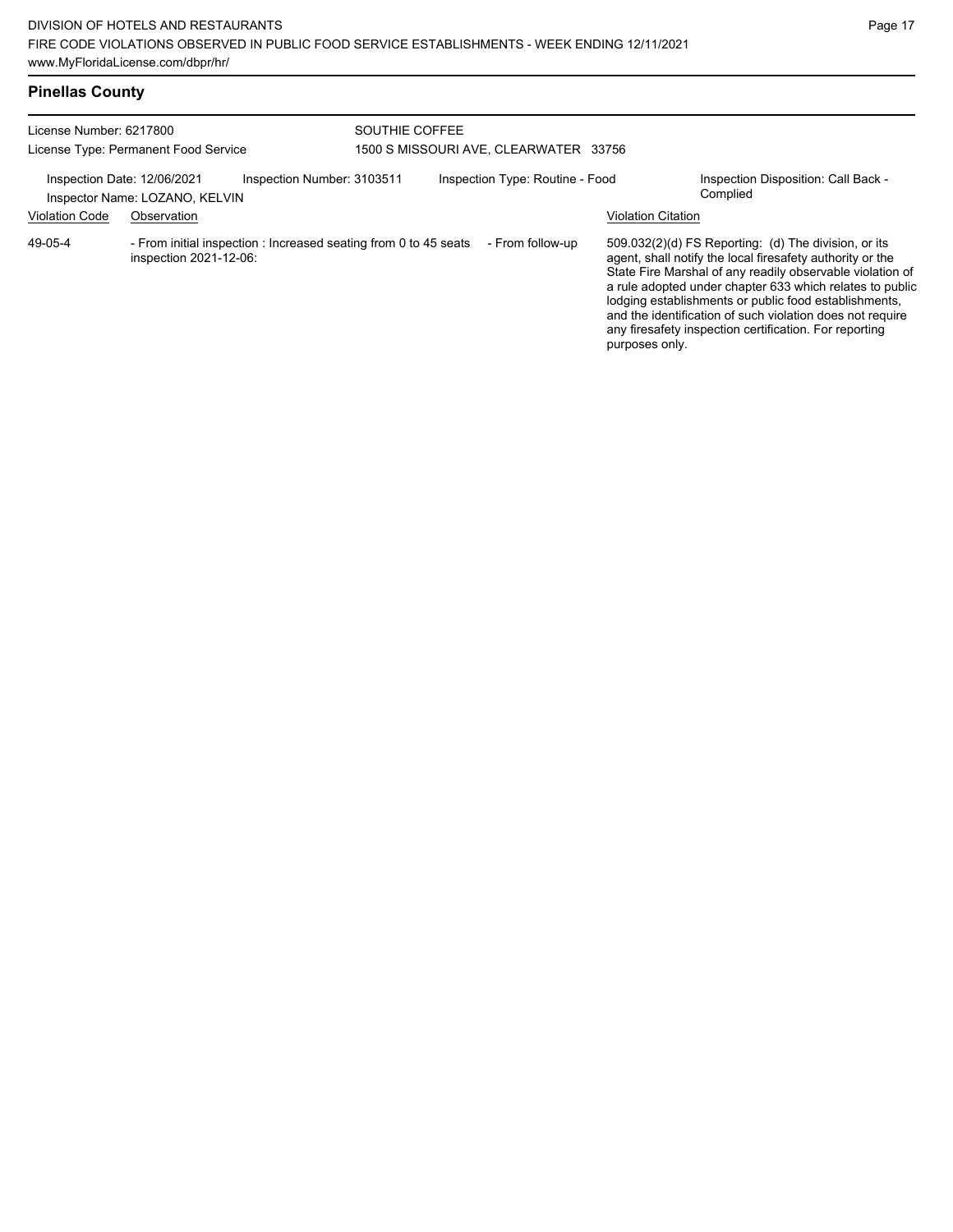| License Number: 6217800<br>License Type: Permanent Food Service |                                               |                                                                  | SOUTHIE COFFEE<br>1500 S MISSOURI AVE, CLEARWATER 33756 |  |                                 |                           |                                                                                                                                                                                                                                                                                                                                                                                                                            |
|-----------------------------------------------------------------|-----------------------------------------------|------------------------------------------------------------------|---------------------------------------------------------|--|---------------------------------|---------------------------|----------------------------------------------------------------------------------------------------------------------------------------------------------------------------------------------------------------------------------------------------------------------------------------------------------------------------------------------------------------------------------------------------------------------------|
| Inspection Date: 12/06/2021<br><b>Violation Code</b>            | Inspector Name: LOZANO, KELVIN<br>Observation | Inspection Number: 3103511                                       |                                                         |  | Inspection Type: Routine - Food | <b>Violation Citation</b> | Inspection Disposition: Call Back -<br>Complied                                                                                                                                                                                                                                                                                                                                                                            |
| 49-05-4                                                         | inspection 2021-12-06:                        | - From initial inspection : Increased seating from 0 to 45 seats |                                                         |  | - From follow-up                | purposes only.            | 509.032(2)(d) FS Reporting: (d) The division, or its<br>agent, shall notify the local firesafety authority or the<br>State Fire Marshal of any readily observable violation of<br>a rule adopted under chapter 633 which relates to public<br>lodging establishments or public food establishments,<br>and the identification of such violation does not require<br>any firesafety inspection certification. For reporting |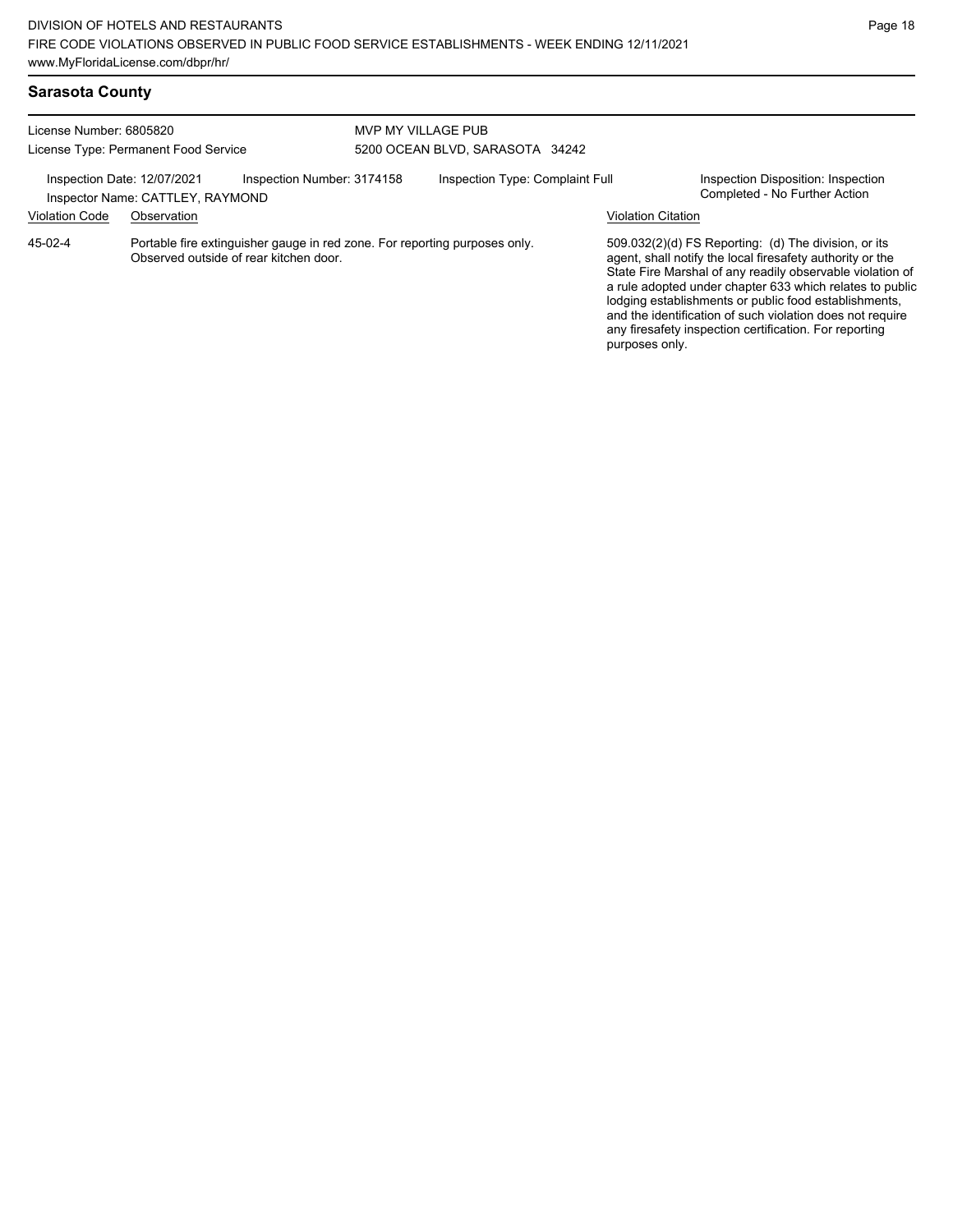| Sarasota County |  |
|-----------------|--|
|-----------------|--|

| License Number: 6805820<br>License Type: Permanent Food Service |                                                 |                                                                                                                      | MVP MY VILLAGE PUB<br>5200 OCEAN BLVD, SARASOTA 34242 |                                 |                           |                                                                                                                                                                                                                                                                                                                                                                                                                              |  |
|-----------------------------------------------------------------|-------------------------------------------------|----------------------------------------------------------------------------------------------------------------------|-------------------------------------------------------|---------------------------------|---------------------------|------------------------------------------------------------------------------------------------------------------------------------------------------------------------------------------------------------------------------------------------------------------------------------------------------------------------------------------------------------------------------------------------------------------------------|--|
| Inspection Date: 12/07/2021<br><b>Violation Code</b>            | Inspector Name: CATTLEY, RAYMOND<br>Observation | Inspection Number: 3174158                                                                                           |                                                       | Inspection Type: Complaint Full | <b>Violation Citation</b> | Inspection Disposition: Inspection<br>Completed - No Further Action                                                                                                                                                                                                                                                                                                                                                          |  |
| 45-02-4                                                         |                                                 | Portable fire extinguisher gauge in red zone. For reporting purposes only.<br>Observed outside of rear kitchen door. |                                                       |                                 | purposes only.            | $509.032(2)(d)$ FS Reporting: (d) The division, or its<br>agent, shall notify the local firesafety authority or the<br>State Fire Marshal of any readily observable violation of<br>a rule adopted under chapter 633 which relates to public<br>lodging establishments or public food establishments,<br>and the identification of such violation does not require<br>any firesafety inspection certification. For reporting |  |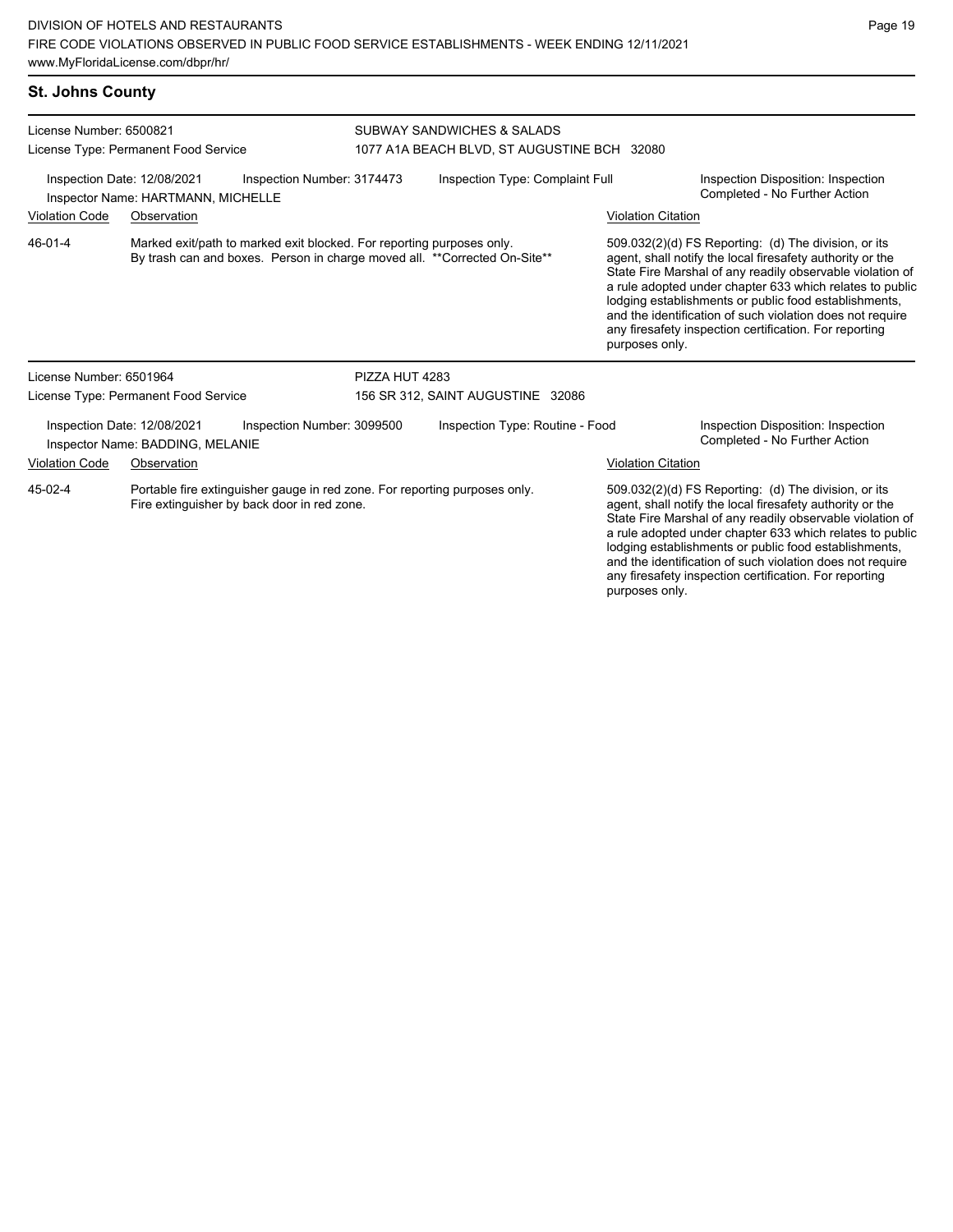### **St. Johns County**

| License Number: 6500821                                                                                                              |                                                                   |                                                                                                                                                    | SUBWAY SANDWICHES & SALADS                  |                           |                                                                                                                                                                                                                                                                                                                                                                                                                                              |  |  |  |
|--------------------------------------------------------------------------------------------------------------------------------------|-------------------------------------------------------------------|----------------------------------------------------------------------------------------------------------------------------------------------------|---------------------------------------------|---------------------------|----------------------------------------------------------------------------------------------------------------------------------------------------------------------------------------------------------------------------------------------------------------------------------------------------------------------------------------------------------------------------------------------------------------------------------------------|--|--|--|
|                                                                                                                                      | License Type: Permanent Food Service                              |                                                                                                                                                    | 1077 A1A BEACH BLVD, ST AUGUSTINE BCH 32080 |                           |                                                                                                                                                                                                                                                                                                                                                                                                                                              |  |  |  |
|                                                                                                                                      | Inspection Date: 12/08/2021<br>Inspector Name: HARTMANN, MICHELLE | Inspection Number: 3174473                                                                                                                         | Inspection Type: Complaint Full             |                           | Inspection Disposition: Inspection<br>Completed - No Further Action                                                                                                                                                                                                                                                                                                                                                                          |  |  |  |
| <b>Violation Code</b><br>Observation                                                                                                 |                                                                   |                                                                                                                                                    |                                             | <b>Violation Citation</b> |                                                                                                                                                                                                                                                                                                                                                                                                                                              |  |  |  |
| 46-01-4                                                                                                                              |                                                                   | Marked exit/path to marked exit blocked. For reporting purposes only.<br>By trash can and boxes. Person in charge moved all. **Corrected On-Site** |                                             |                           | 509.032(2)(d) FS Reporting: (d) The division, or its<br>agent, shall notify the local firesafety authority or the<br>State Fire Marshal of any readily observable violation of<br>a rule adopted under chapter 633 which relates to public<br>lodging establishments or public food establishments,<br>and the identification of such violation does not require<br>any firesafety inspection certification. For reporting<br>purposes only. |  |  |  |
| License Number: 6501964                                                                                                              |                                                                   |                                                                                                                                                    | PIZZA HUT 4283                              |                           |                                                                                                                                                                                                                                                                                                                                                                                                                                              |  |  |  |
| License Type: Permanent Food Service                                                                                                 |                                                                   |                                                                                                                                                    | 156 SR 312, SAINT AUGUSTINE 32086           |                           |                                                                                                                                                                                                                                                                                                                                                                                                                                              |  |  |  |
|                                                                                                                                      | Inspection Date: 12/08/2021<br>Inspector Name: BADDING, MELANIE   | Inspection Number: 3099500                                                                                                                         | Inspection Type: Routine - Food             |                           | Inspection Disposition: Inspection<br>Completed - No Further Action                                                                                                                                                                                                                                                                                                                                                                          |  |  |  |
| <b>Violation Code</b><br>Observation                                                                                                 |                                                                   |                                                                                                                                                    |                                             |                           | <b>Violation Citation</b>                                                                                                                                                                                                                                                                                                                                                                                                                    |  |  |  |
| 45-02-4<br>Portable fire extinguisher gauge in red zone. For reporting purposes only.<br>Fire extinguisher by back door in red zone. |                                                                   |                                                                                                                                                    |                                             |                           | 509.032(2)(d) FS Reporting: (d) The division, or its<br>agent, shall notify the local firesafety authority or the<br>State Fire Marshal of any readily observable violation of<br>a rule adopted under chapter 633 which relates to public<br>lodging establishments or public food establishments,<br>and the identification of such violation does not require                                                                             |  |  |  |

any firesafety inspection certification. For reporting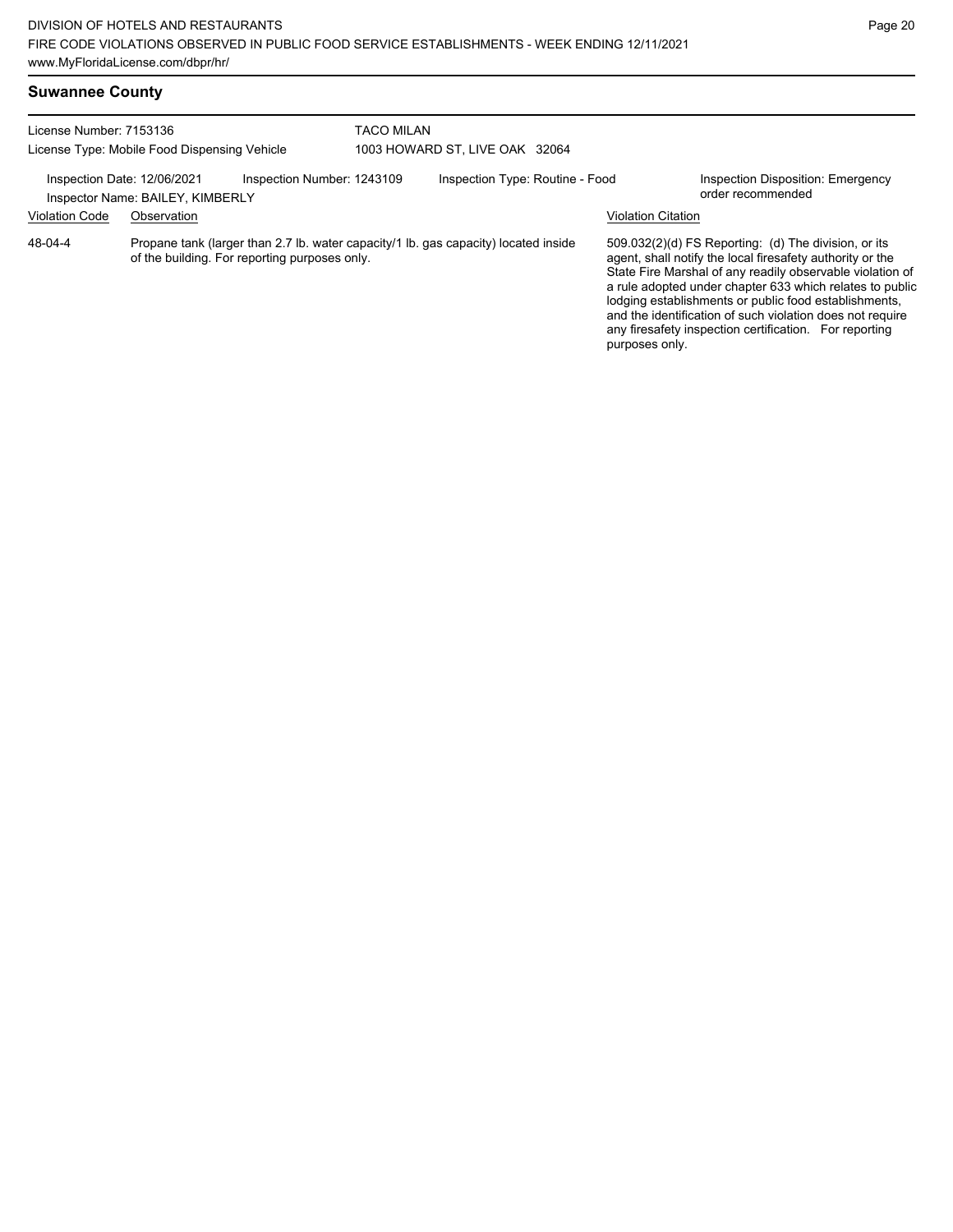Page 20

| <b>Suwannee County</b>                                                  |                                                                 |                                                                                                                                      |                                |                                 |  |                           |                                                                                                                                                                                                                                                                                                                                                                                                                            |  |
|-------------------------------------------------------------------------|-----------------------------------------------------------------|--------------------------------------------------------------------------------------------------------------------------------------|--------------------------------|---------------------------------|--|---------------------------|----------------------------------------------------------------------------------------------------------------------------------------------------------------------------------------------------------------------------------------------------------------------------------------------------------------------------------------------------------------------------------------------------------------------------|--|
| License Number: 7153136<br>License Type: Mobile Food Dispensing Vehicle |                                                                 |                                                                                                                                      | <b>TACO MILAN</b>              |                                 |  |                           |                                                                                                                                                                                                                                                                                                                                                                                                                            |  |
|                                                                         |                                                                 |                                                                                                                                      | 1003 HOWARD ST, LIVE OAK 32064 |                                 |  |                           |                                                                                                                                                                                                                                                                                                                                                                                                                            |  |
|                                                                         | Inspection Date: 12/06/2021<br>Inspector Name: BAILEY, KIMBERLY | Inspection Number: 1243109                                                                                                           |                                | Inspection Type: Routine - Food |  |                           | Inspection Disposition: Emergency<br>order recommended                                                                                                                                                                                                                                                                                                                                                                     |  |
| <b>Violation Code</b>                                                   | Observation                                                     |                                                                                                                                      |                                |                                 |  | <b>Violation Citation</b> |                                                                                                                                                                                                                                                                                                                                                                                                                            |  |
| 48-04-4                                                                 |                                                                 | Propane tank (larger than 2.7 lb. water capacity/1 lb. gas capacity) located inside<br>of the building. For reporting purposes only. |                                |                                 |  | purposes only.            | 509.032(2)(d) FS Reporting: (d) The division, or its<br>agent, shall notify the local firesafety authority or the<br>State Fire Marshal of any readily observable violation of<br>a rule adopted under chapter 633 which relates to public<br>lodging establishments or public food establishments,<br>and the identification of such violation does not require<br>any firesafety inspection certification. For reporting |  |